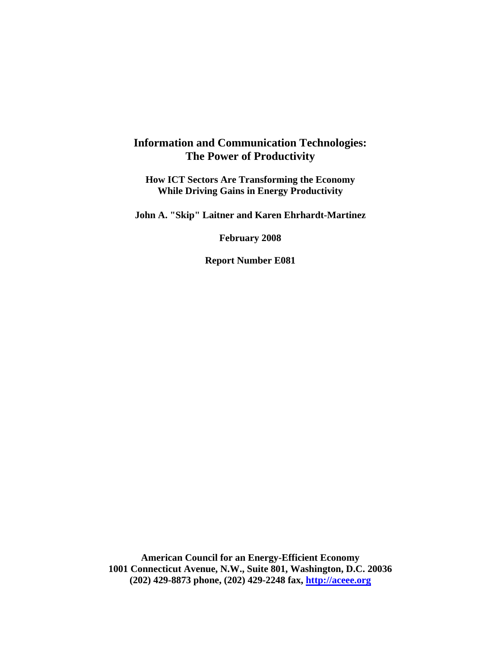# **Information and Communication Technologies: The Power of Productivity**

**How ICT Sectors Are Transforming the Economy While Driving Gains in Energy Productivity** 

**John A. "Skip" Laitner and Karen Ehrhardt-Martinez** 

**February 2008** 

**Report Number E081** 

**American Council for an Energy-Efficient Economy 1001 Connecticut Avenue, N.W., Suite 801, Washington, D.C. 20036 (202) 429-8873 phone, (202) 429-2248 fax, [http://aceee.org](http://aceee.org/)**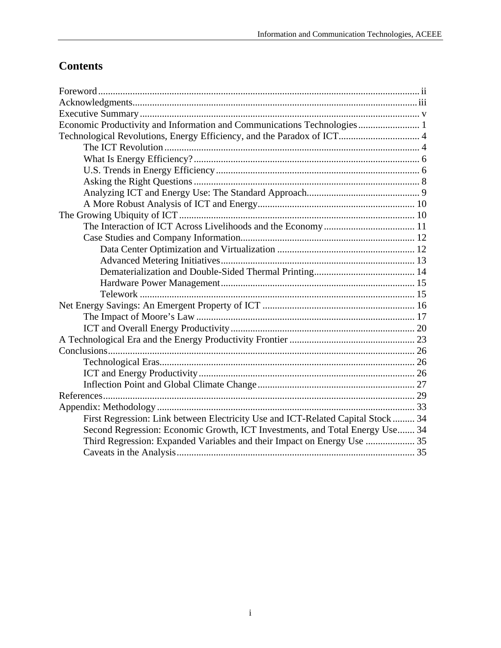# **Contents**

| Economic Productivity and Information and Communications Technologies 1          |  |
|----------------------------------------------------------------------------------|--|
|                                                                                  |  |
|                                                                                  |  |
|                                                                                  |  |
|                                                                                  |  |
|                                                                                  |  |
|                                                                                  |  |
|                                                                                  |  |
|                                                                                  |  |
|                                                                                  |  |
|                                                                                  |  |
|                                                                                  |  |
|                                                                                  |  |
|                                                                                  |  |
|                                                                                  |  |
|                                                                                  |  |
|                                                                                  |  |
|                                                                                  |  |
|                                                                                  |  |
|                                                                                  |  |
|                                                                                  |  |
|                                                                                  |  |
|                                                                                  |  |
|                                                                                  |  |
|                                                                                  |  |
|                                                                                  |  |
| First Regression: Link between Electricity Use and ICT-Related Capital Stock  34 |  |
| Second Regression: Economic Growth, ICT Investments, and Total Energy Use 34     |  |
|                                                                                  |  |
|                                                                                  |  |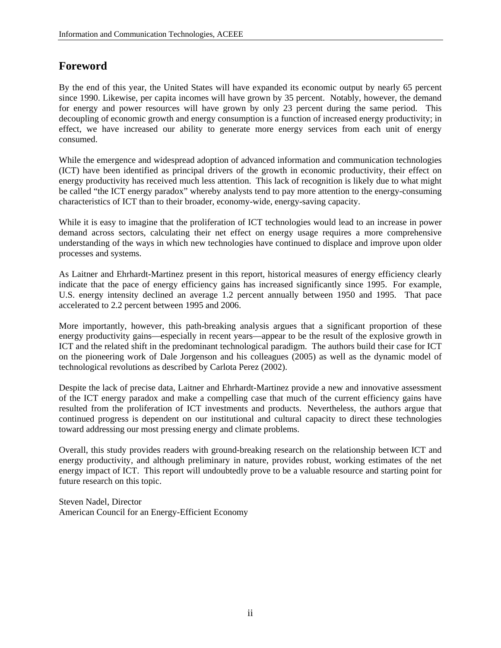### <span id="page-3-0"></span>**Foreword**

By the end of this year, the United States will have expanded its economic output by nearly 65 percent since 1990. Likewise, per capita incomes will have grown by 35 percent. Notably, however, the demand for energy and power resources will have grown by only 23 percent during the same period. This decoupling of economic growth and energy consumption is a function of increased energy productivity; in effect, we have increased our ability to generate more energy services from each unit of energy consumed.

While the emergence and widespread adoption of advanced information and communication technologies (ICT) have been identified as principal drivers of the growth in economic productivity, their effect on energy productivity has received much less attention. This lack of recognition is likely due to what might be called "the ICT energy paradox" whereby analysts tend to pay more attention to the energy-consuming characteristics of ICT than to their broader, economy-wide, energy-saving capacity.

While it is easy to imagine that the proliferation of ICT technologies would lead to an increase in power demand across sectors, calculating their net effect on energy usage requires a more comprehensive understanding of the ways in which new technologies have continued to displace and improve upon older processes and systems.

As Laitner and Ehrhardt-Martinez present in this report, historical measures of energy efficiency clearly indicate that the pace of energy efficiency gains has increased significantly since 1995. For example, U.S. energy intensity declined an average 1.2 percent annually between 1950 and 1995. That pace accelerated to 2.2 percent between 1995 and 2006.

More importantly, however, this path-breaking analysis argues that a significant proportion of these energy productivity gains—especially in recent years—appear to be the result of the explosive growth in ICT and the related shift in the predominant technological paradigm. The authors build their case for ICT on the pioneering work of Dale Jorgenson and his colleagues (2005) as well as the dynamic model of technological revolutions as described by Carlota Perez (2002).

Despite the lack of precise data, Laitner and Ehrhardt-Martinez provide a new and innovative assessment of the ICT energy paradox and make a compelling case that much of the current efficiency gains have resulted from the proliferation of ICT investments and products. Nevertheless, the authors argue that continued progress is dependent on our institutional and cultural capacity to direct these technologies toward addressing our most pressing energy and climate problems.

Overall, this study provides readers with ground-breaking research on the relationship between ICT and energy productivity, and although preliminary in nature, provides robust, working estimates of the net energy impact of ICT. This report will undoubtedly prove to be a valuable resource and starting point for future research on this topic.

Steven Nadel, Director American Council for an Energy-Efficient Economy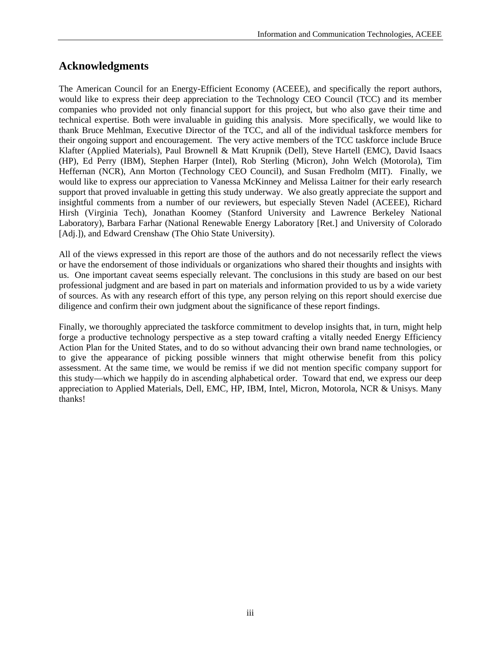# <span id="page-4-0"></span>**Acknowledgments**

The American Council for an Energy-Efficient Economy (ACEEE), and specifically the report authors, would like to express their deep appreciation to the Technology CEO Council (TCC) and its member companies who provided not only financial support for this project, but who also gave their time and technical expertise. Both were invaluable in guiding this analysis. More specifically, we would like to thank Bruce Mehlman, Executive Director of the TCC, and all of the individual taskforce members for their ongoing support and encouragement. The very active members of the TCC taskforce include Bruce Klafter (Applied Materials), Paul Brownell & Matt Krupnik (Dell), Steve Hartell (EMC), David Isaacs (HP), Ed Perry (IBM), Stephen Harper (Intel), Rob Sterling (Micron), John Welch (Motorola), Tim Heffernan (NCR), Ann Morton (Technology CEO Council), and Susan Fredholm (MIT). Finally, we would like to express our appreciation to Vanessa McKinney and Melissa Laitner for their early research support that proved invaluable in getting this study underway. We also greatly appreciate the support and insightful comments from a number of our reviewers, but especially Steven Nadel (ACEEE), Richard Hirsh (Virginia Tech), Jonathan Koomey (Stanford University and Lawrence Berkeley National Laboratory), Barbara Farhar (National Renewable Energy Laboratory [Ret.] and University of Colorado [Adj.]), and Edward Crenshaw (The Ohio State University).

All of the views expressed in this report are those of the authors and do not necessarily reflect the views or have the endorsement of those individuals or organizations who shared their thoughts and insights with us. One important caveat seems especially relevant. The conclusions in this study are based on our best professional judgment and are based in part on materials and information provided to us by a wide variety of sources. As with any research effort of this type, any person relying on this report should exercise due diligence and confirm their own judgment about the significance of these report findings.

Finally, we thoroughly appreciated the taskforce commitment to develop insights that, in turn, might help forge a productive technology perspective as a step toward crafting a vitally needed Energy Efficiency Action Plan for the United States, and to do so without advancing their own brand name technologies, or to give the appearance of picking possible winners that might otherwise benefit from this policy assessment. At the same time, we would be remiss if we did not mention specific company support for this study—which we happily do in ascending alphabetical order. Toward that end, we express our deep appreciation to Applied Materials, Dell, EMC, HP, IBM, Intel, Micron, Motorola, NCR & Unisys. Many thanks!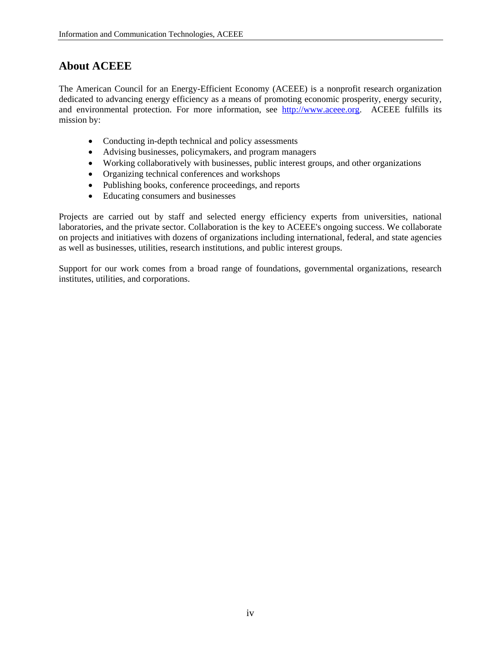# **About ACEEE**

The American Council for an Energy-Efficient Economy (ACEEE) is a nonprofit research organization dedicated to advancing energy efficiency as a means of promoting economic prosperity, energy security, and environmental protection. For more informatio[n, see http://www.ace](http://www.aceee.org/)ee.org. ACEEE fulfills its mission by:

- Conducting in-depth technical and policy assessments
- Advising businesses, policymakers, and program managers
- Working collaboratively with businesses, public interest groups, and other organizations
- Organizing technical conferences and workshops
- Publishing books, conference proceedings, and reports
- Educating consumers and businesses

Projects are carried out by staff and selected energy efficiency experts from universities, national laboratories, and the private sector. Collaboration is the key to ACEEE's ongoing success. We collaborate on projects and initiatives with dozens of organizations including international, federal, and state agencies as well as businesses, utilities, research institutions, and public interest groups.

Support for our work comes from a broad range of foundations, governmental organizations, research institutes, utilities, and corporations.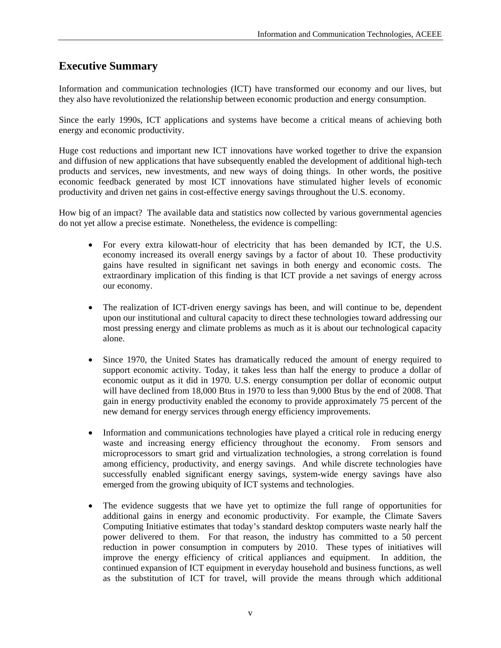# <span id="page-6-0"></span>**Executive Summary**

Information and communication technologies (ICT) have transformed our economy and our lives, but they also have revolutionized the relationship between economic production and energy consumption.

Since the early 1990s, ICT applications and systems have become a critical means of achieving both energy and economic productivity.

Huge cost reductions and important new ICT innovations have worked together to drive the expansion and diffusion of new applications that have subsequently enabled the development of additional high-tech products and services, new investments, and new ways of doing things. In other words, the positive economic feedback generated by most ICT innovations have stimulated higher levels of economic productivity and driven net gains in cost-effective energy savings throughout the U.S. economy.

How big of an impact? The available data and statistics now collected by various governmental agencies do not yet allow a precise estimate. Nonetheless, the evidence is compelling:

- For every extra kilowatt-hour of electricity that has been demanded by ICT, the U.S. economy increased its overall energy savings by a factor of about 10. These productivity gains have resulted in significant net savings in both energy and economic costs. The extraordinary implication of this finding is that ICT provide a net savings of energy across our economy.
- The realization of ICT-driven energy savings has been, and will continue to be, dependent upon our institutional and cultural capacity to direct these technologies toward addressing our most pressing energy and climate problems as much as it is about our technological capacity alone.
- Since 1970, the United States has dramatically reduced the amount of energy required to support economic activity. Today, it takes less than half the energy to produce a dollar of economic output as it did in 1970. U.S. energy consumption per dollar of economic output will have declined from 18,000 Btus in 1970 to less than 9,000 Btus by the end of 2008. That gain in energy productivity enabled the economy to provide approximately 75 percent of the new demand for energy services through energy efficiency improvements.
- Information and communications technologies have played a critical role in reducing energy waste and increasing energy efficiency throughout the economy. From sensors and microprocessors to smart grid and virtualization technologies, a strong correlation is found among efficiency, productivity, and energy savings. And while discrete technologies have successfully enabled significant energy savings, system-wide energy savings have also emerged from the growing ubiquity of ICT systems and technologies.
- The evidence suggests that we have yet to optimize the full range of opportunities for additional gains in energy and economic productivity. For example, the Climate Savers Computing Initiative estimates that today's standard desktop computers waste nearly half the power delivered to them. For that reason, the industry has committed to a 50 percent reduction in power consumption in computers by 2010. These types of initiatives will improve the energy efficiency of critical appliances and equipment. In addition, the continued expansion of ICT equipment in everyday household and business functions, as well as the substitution of ICT for travel, will provide the means through which additional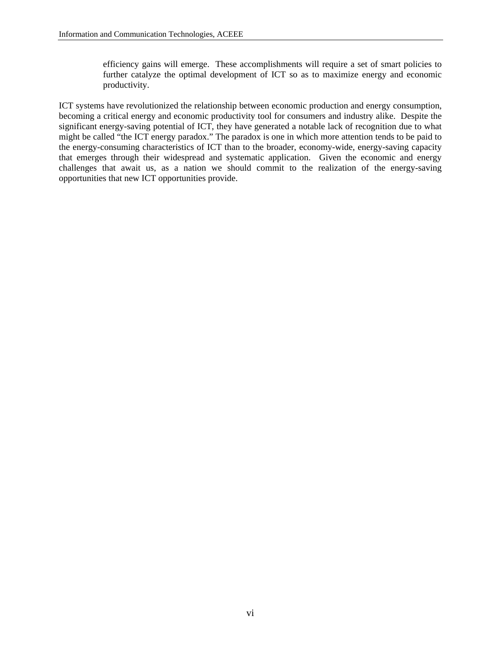efficiency gains will emerge. These accomplishments will require a set of smart policies to further catalyze the optimal development of ICT so as to maximize energy and economic productivity.

ICT systems have revolutionized the relationship between economic production and energy consumption, becoming a critical energy and economic productivity tool for consumers and industry alike. Despite the significant energy-saving potential of ICT, they have generated a notable lack of recognition due to what might be called "the ICT energy paradox." The paradox is one in which more attention tends to be paid to the energy-consuming characteristics of ICT than to the broader, economy-wide, energy-saving capacity that emerges through their widespread and systematic application. Given the economic and energy challenges that await us, as a nation we should commit to the realization of the energy-saving opportunities that new ICT opportunities provide.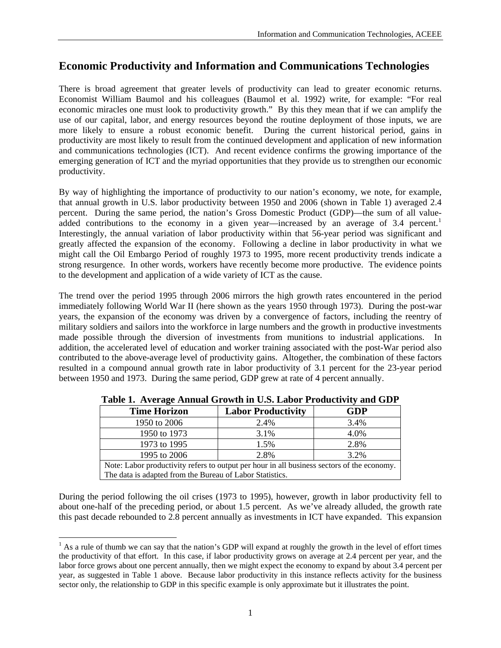# <span id="page-8-0"></span>**Economic Productivity and Information and Communications Technologies**

There is broad agreement that greater levels of productivity can lead to greater economic returns. Economist William Baumol and his colleagues (Baumol et al. 1992) write, for example: "For real economic miracles one must look to productivity growth." By this they mean that if we can amplify the use of our capital, labor, and energy resources beyond the routine deployment of those inputs, we are more likely to ensure a robust economic benefit. During the current historical period, gains in productivity are most likely to result from the continued development and application of new information and communications technologies (ICT). And recent evidence confirms the growing importance of the emerging generation of ICT and the myriad opportunities that they provide us to strengthen our economic productivity.

By way of highlighting the importance of productivity to our nation's economy, we note, for example, that annual growth in U.S. labor productivity between 1950 and 2006 (shown in Table 1) averaged 2.4 percent. During the same period, the nation's Gross Domestic Product (GDP)—the sum of all value-added contributions to the economy in a given year—increased by an average of 3.4 percent.<sup>[1](#page-8-1)</sup> Interestingly, the annual variation of labor productivity within that 56-year period was significant and greatly affected the expansion of the economy. Following a decline in labor productivity in what we might call the Oil Embargo Period of roughly 1973 to 1995, more recent productivity trends indicate a strong resurgence. In other words, workers have recently become more productive. The evidence points to the development and application of a wide variety of ICT as the cause.

The trend over the period 1995 through 2006 mirrors the high growth rates encountered in the period immediately following World War II (here shown as the years 1950 through 1973). During the post-war years, the expansion of the economy was driven by a convergence of factors, including the reentry of military soldiers and sailors into the workforce in large numbers and the growth in productive investments made possible through the diversion of investments from munitions to industrial applications. In addition, the accelerated level of education and worker training associated with the post-War period also contributed to the above-average level of productivity gains. Altogether, the combination of these factors resulted in a compound annual growth rate in labor productivity of 3.1 percent for the 23-year period between 1950 and 1973. During the same period, GDP grew at rate of 4 percent annually.

| <b>Time Horizon</b>                                                                        | <b>Labor Productivity</b> | GDP  |  |  |
|--------------------------------------------------------------------------------------------|---------------------------|------|--|--|
| 1950 to 2006                                                                               | 2.4%                      | 3.4% |  |  |
| 1950 to 1973                                                                               | 3.1%                      | 4.0% |  |  |
| 1973 to 1995                                                                               | 1.5%                      | 2.8% |  |  |
| 1995 to 2006                                                                               | 2.8%                      | 3.2% |  |  |
| Note: Labor productivity refers to output per hour in all business sectors of the economy. |                           |      |  |  |
| The data is adapted from the Bureau of Labor Statistics.                                   |                           |      |  |  |

**Table 1. Average Annual Growth in U.S. Labor Productivity and GDP** 

During the period following the oil crises (1973 to 1995), however, growth in labor productivity fell to about one-half of the preceding period, or about 1.5 percent. As we've already alluded, the growth rate this past decade rebounded to 2.8 percent annually as investments in ICT have expanded. This expansion

<span id="page-8-1"></span><sup>&</sup>lt;sup>1</sup> As a rule of thumb we can say that the nation's GDP will expand at roughly the growth in the level of effort times the productivity of that effort. In this case, if labor productivity grows on average at 2.4 percent per year, and the labor force grows about one percent annually, then we might expect the economy to expand by about 3.4 percent per year, as suggested in Table 1 above. Because labor productivity in this instance reflects activity for the business sector only, the relationship to GDP in this specific example is only approximate but it illustrates the point.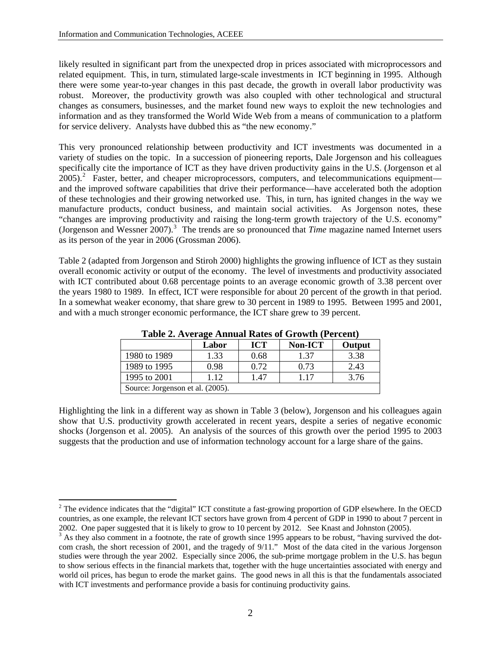likely resulted in significant part from the unexpected drop in prices associated with microprocessors and related equipment. This, in turn, stimulated large-scale investments in ICT beginning in 1995. Although there were some year-to-year changes in this past decade, the growth in overall labor productivity was robust. Moreover, the productivity growth was also coupled with other technological and structural changes as consumers, businesses, and the market found new ways to exploit the new technologies and information and as they transformed the World Wide Web from a means of communication to a platform for service delivery. Analysts have dubbed this as "the new economy."

This very pronounced relationship between productivity and ICT investments was documented in a variety of studies on the topic. In a succession of pioneering reports, Dale Jorgenson and his colleagues specifically cite the importance of ICT as they have driven productivity gains in the U.S. (Jorgenson et al  $2005$  $2005$ ).<sup>2</sup> Faster, better, and cheaper microprocessors, computers, and telecommunications equipment and the improved software capabilities that drive their performance—have accelerated both the adoption of these technologies and their growing networked use. This, in turn, has ignited changes in the way we manufacture products, conduct business, and maintain social activities. As Jorgenson notes, these "changes are improving productivity and raising the long-term growth trajectory of the U.S. economy" (Jorgenson and Wessner 2007).<sup>[3](#page-9-1)</sup> The trends are so pronounced that *Time* magazine named Internet users as its person of the year in 2006 (Grossman 2006).

Table 2 (adapted from Jorgenson and Stiroh 2000) highlights the growing influence of ICT as they sustain overall economic activity or output of the economy. The level of investments and productivity associated with ICT contributed about 0.68 percentage points to an average economic growth of 3.38 percent over the years 1980 to 1989. In effect, ICT were responsible for about 20 percent of the growth in that period. In a somewhat weaker economy, that share grew to 30 percent in 1989 to 1995. Between 1995 and 2001, and with a much stronger economic performance, the ICT share grew to 39 percent.

| Tuble 2. Invertice inhibition nuclear chomen (1 creent) |       |            |                |        |  |
|---------------------------------------------------------|-------|------------|----------------|--------|--|
|                                                         | Labor | <b>ICT</b> | <b>Non-ICT</b> | Output |  |
| 1980 to 1989                                            | 1.33  | 0.68       | 1.37           | 3.38   |  |
| 1989 to 1995                                            | 0.98  | 0.72       | 0.73           | 2.43   |  |
| 1995 to 2001                                            | 1 12  | 1.47       | 117            | 3.76   |  |
| Source: Jorgenson et al. (2005).                        |       |            |                |        |  |

**Table 2. Average Annual Rates of Growth (Percent)** 

Highlighting the link in a different way as shown in Table 3 (below), Jorgenson and his colleagues again show that U.S. productivity growth accelerated in recent years, despite a series of negative economic shocks (Jorgenson et al. 2005). An analysis of the sources of this growth over the period 1995 to 2003 suggests that the production and use of information technology account for a large share of the gains.

<span id="page-9-0"></span> $\overline{a}$  $2^2$  The evidence indicates that the "digital" ICT constitute a fast-growing proportion of GDP elsewhere. In the OECD countries, as one example, the relevant ICT sectors have grown from 4 percent of GDP in 1990 to about 7 percent in 2002. One paper suggested that it is likely to grow to 10 percent by 2012. See Knast and Johnston (2005).

<span id="page-9-1"></span><sup>&</sup>lt;sup>3</sup> As they also comment in a footnote, the rate of growth since 1995 appears to be robust, "having survived the dotcom crash, the short recession of 2001, and the tragedy of 9/11." Most of the data cited in the various Jorgenson studies were through the year 2002. Especially since 2006, the sub-prime mortgage problem in the U.S. has begun to show serious effects in the financial markets that, together with the huge uncertainties associated with energy and world oil prices, has begun to erode the market gains. The good news in all this is that the fundamentals associated with ICT investments and performance provide a basis for continuing productivity gains.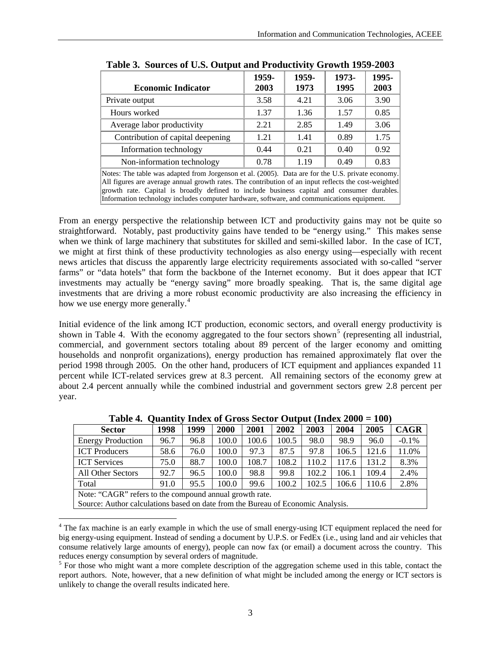| <b>Economic Indicator</b>                                                                         | 1959-<br>2003 | 1959-<br>1973 | 1973-<br>1995 | 1995-<br>2003 |
|---------------------------------------------------------------------------------------------------|---------------|---------------|---------------|---------------|
| Private output                                                                                    | 3.58          | 4.21          | 3.06          | 3.90          |
| Hours worked                                                                                      | 1.37          | 1.36          | 1.57          | 0.85          |
| Average labor productivity                                                                        | 2.21          | 2.85          | 1.49          | 3.06          |
| Contribution of capital deepening                                                                 | 1.21          | 1.41          | 0.89          | 1.75          |
| Information technology                                                                            | 0.44          | 0.21          | 0.40          | 0.92          |
| Non-information technology                                                                        | 0.78          | 1.19          | 0.49          | 0.83          |
| Notes: The table was adapted from Jorgenson et al. (2005). Data are for the U.S. private economy. |               |               |               |               |

**Table 3. Sources of U.S. Output and Productivity Growth 1959-2003**

All figures are average annual growth rates. The contribution of an input reflects the cost-weighted growth rate. Capital is broadly defined to include business capital and consumer durables. Information technology includes computer hardware, software, and communications equipment.

From an energy perspective the relationship between ICT and productivity gains may not be quite so straightforward. Notably, past productivity gains have tended to be "energy using." This makes sense when we think of large machinery that substitutes for skilled and semi-skilled labor. In the case of ICT, we might at first think of these productivity technologies as also energy using—especially with recent news articles that discuss the apparently large electricity requirements associated with so-called "server farms" or "data hotels" that form the backbone of the Internet economy. But it does appear that ICT investments may actually be "energy saving" more broadly speaking. That is, the same digital age investments that are driving a more robust economic productivity are also increasing the efficiency in how we use energy more generally.<sup>[4](#page-10-0)</sup>

Initial evidence of the link among ICT production, economic sectors, and overall energy productivity is shown in Table 4. With the economy aggregated to the four sectors shown<sup>[5](#page-10-1)</sup> (representing all industrial, commercial, and government sectors totaling about 89 percent of the larger economy and omitting households and nonprofit organizations), energy production has remained approximately flat over the period 1998 through 2005. On the other hand, producers of ICT equipment and appliances expanded 11 percent while ICT-related services grew at 8.3 percent. All remaining sectors of the economy grew at about 2.4 percent annually while the combined industrial and government sectors grew 2.8 percent per year.

| <b>Sector</b>                                                                   | 1998 | 1999 | 2000  | 2001  | 2002  | 2003  | 2004  | 2005  | <b>CAGR</b> |
|---------------------------------------------------------------------------------|------|------|-------|-------|-------|-------|-------|-------|-------------|
| <b>Energy Production</b>                                                        | 96.7 | 96.8 | 100.0 | 100.6 | 100.5 | 98.0  | 98.9  | 96.0  | $-0.1\%$    |
| <b>ICT</b> Producers                                                            | 58.6 | 76.0 | 100.0 | 97.3  | 87.5  | 97.8  | 106.5 | 121.6 | 11.0%       |
| <b>ICT</b> Services                                                             | 75.0 | 88.7 | 100.0 | 108.7 | 108.2 | 110.2 | 117.6 | 131.2 | 8.3%        |
| <b>All Other Sectors</b>                                                        | 92.7 | 96.5 | 100.0 | 98.8  | 99.8  | 102.2 | 106.1 | 109.4 | 2.4%        |
| Total                                                                           | 91.0 | 95.5 | 100.0 | 99.6  | 100.2 | 102.5 | 106.6 | 110.6 | 2.8%        |
| Note: "CAGR" refers to the compound annual growth rate.                         |      |      |       |       |       |       |       |       |             |
| Source: Author calculations based on date from the Bureau of Economic Analysis. |      |      |       |       |       |       |       |       |             |

**Table 4. Quantity Index of Gross Sector Output (Index 2000 = 100)** 

 $\overline{a}$ 

<span id="page-10-0"></span><sup>&</sup>lt;sup>4</sup> The fax machine is an early example in which the use of small energy-using ICT equipment replaced the need for big energy-using equipment. Instead of sending a document by U.P.S. or FedEx (i.e., using land and air vehicles that consume relatively large amounts of energy), people can now fax (or email) a document across the country. This reduces energy consumption by several orders of magnitude.

<span id="page-10-1"></span><sup>&</sup>lt;sup>5</sup> For those who might want a more complete description of the aggregation scheme used in this table, contact the report authors. Note, however, that a new definition of what might be included among the energy or ICT sectors is unlikely to change the overall results indicated here.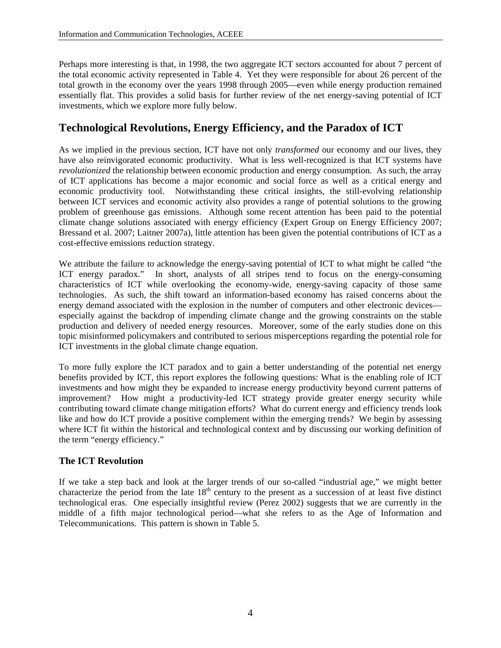<span id="page-11-0"></span>Perhaps more interesting is that, in 1998, the two aggregate ICT sectors accounted for about 7 percent of the total economic activity represented in Table 4. Yet they were responsible for about 26 percent of the total growth in the economy over the years 1998 through 2005—even while energy production remained essentially flat. This provides a solid basis for further review of the net energy-saving potential of ICT investments, which we explore more fully below.

# **Technological Revolutions, Energy Efficiency, and the Paradox of ICT**

As we implied in the previous section, ICT have not only *transformed* our economy and our lives, they have also reinvigorated economic productivity. What is less well-recognized is that ICT systems have *revolutionized* the relationship between economic production and energy consumption. As such, the array of ICT applications has become a major economic and social force as well as a critical energy and economic productivity tool. Notwithstanding these critical insights, the still-evolving relationship between ICT services and economic activity also provides a range of potential solutions to the growing problem of greenhouse gas emissions. Although some recent attention has been paid to the potential climate change solutions associated with energy efficiency (Expert Group on Energy Efficiency 2007; Bressand et al. 2007; Laitner 2007a), little attention has been given the potential contributions of ICT as a cost-effective emissions reduction strategy.

We attribute the failure to acknowledge the energy-saving potential of ICT to what might be called "the ICT energy paradox." In short, analysts of all stripes tend to focus on the energy-consuming characteristics of ICT while overlooking the economy-wide, energy-saving capacity of those same technologies. As such, the shift toward an information-based economy has raised concerns about the energy demand associated with the explosion in the number of computers and other electronic devices especially against the backdrop of impending climate change and the growing constraints on the stable production and delivery of needed energy resources. Moreover, some of the early studies done on this topic misinformed policymakers and contributed to serious misperceptions regarding the potential role for ICT investments in the global climate change equation.

To more fully explore the ICT paradox and to gain a better understanding of the potential net energy benefits provided by ICT, this report explores the following questions: What is the enabling role of ICT investments and how might they be expanded to increase energy productivity beyond current patterns of improvement? How might a productivity-led ICT strategy provide greater energy security while contributing toward climate change mitigation efforts? What do current energy and efficiency trends look like and how do ICT provide a positive complement within the emerging trends? We begin by assessing where ICT fit within the historical and technological context and by discussing our working definition of the term "energy efficiency."

### **The ICT Revolution**

If we take a step back and look at the larger trends of our so-called "industrial age," we might better characterize the period from the late  $18<sup>th</sup>$  century to the present as a succession of at least five distinct technological eras. One especially insightful review (Perez 2002) suggests that we are currently in the middle of a fifth major technological period—what she refers to as the Age of Information and Telecommunications. This pattern is shown in Table 5.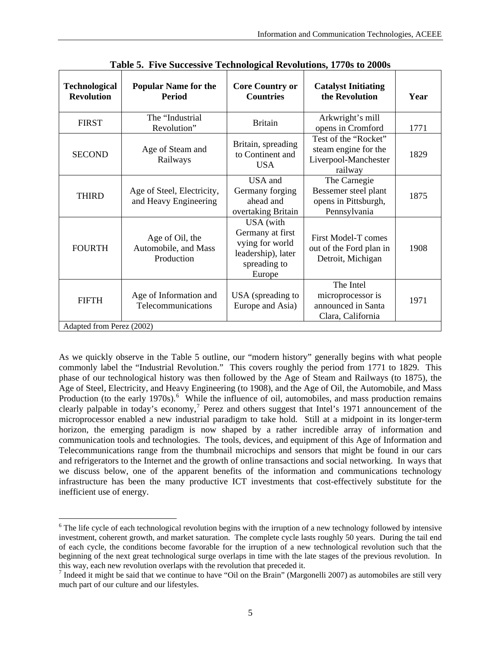| <b>Technological</b><br><b>Revolution</b> | <b>Popular Name for the</b><br><b>Period</b>          | <b>Core Country or</b><br><b>Countries</b>                                                       | <b>Catalyst Initiating</b><br>the Revolution                                    | Year |
|-------------------------------------------|-------------------------------------------------------|--------------------------------------------------------------------------------------------------|---------------------------------------------------------------------------------|------|
| <b>FIRST</b>                              | The "Industrial<br>Revolution"                        | <b>Britain</b>                                                                                   | Arkwright's mill<br>opens in Cromford                                           | 1771 |
| <b>SECOND</b>                             | Age of Steam and<br>Railways                          | Britain, spreading<br>to Continent and<br><b>USA</b>                                             | Test of the "Rocket"<br>steam engine for the<br>Liverpool-Manchester<br>railway | 1829 |
| <b>THIRD</b>                              | Age of Steel, Electricity,<br>and Heavy Engineering   | USA and<br>Germany forging<br>ahead and<br>overtaking Britain                                    | The Carnegie<br>Bessemer steel plant<br>opens in Pittsburgh,<br>Pennsylvania    | 1875 |
| <b>FOURTH</b>                             | Age of Oil, the<br>Automobile, and Mass<br>Production | USA (with<br>Germany at first<br>vying for world<br>leadership), later<br>spreading to<br>Europe | First Model-T comes<br>out of the Ford plan in<br>Detroit, Michigan             | 1908 |
| <b>FIFTH</b>                              | Age of Information and<br>Telecommunications          | USA (spreading to<br>Europe and Asia)                                                            | The Intel<br>microprocessor is<br>announced in Santa<br>Clara, California       | 1971 |
| Adapted from Perez (2002)                 |                                                       |                                                                                                  |                                                                                 |      |

**Table 5. Five Successive Technological Revolutions, 1770s to 2000s**

As we quickly observe in the Table 5 outline, our "modern history" generally begins with what people commonly label the "Industrial Revolution." This covers roughly the period from 1771 to 1829. This phase of our technological history was then followed by the Age of Steam and Railways (to 1875), the Age of Steel, Electricity, and Heavy Engineering (to 1908), and the Age of Oil, the Automobile, and Mass Production (to the early 1970s).<sup>[6](#page-12-0)</sup> While the influence of oil, automobiles, and mass production remains clearly palpable in today's economy,<sup>[7](#page-12-1)</sup> Perez and others suggest that Intel's 1971 announcement of the microprocessor enabled a new industrial paradigm to take hold. Still at a midpoint in its longer-term horizon, the emerging paradigm is now shaped by a rather incredible array of information and communication tools and technologies. The tools, devices, and equipment of this Age of Information and Telecommunications range from the thumbnail microchips and sensors that might be found in our cars and refrigerators to the Internet and the growth of online transactions and social networking. In ways that we discuss below, one of the apparent benefits of the information and communications technology infrastructure has been the many productive ICT investments that cost-effectively substitute for the inefficient use of energy.

<span id="page-12-0"></span> $\overline{a}$  $6$  The life cycle of each technological revolution begins with the irruption of a new technology followed by intensive investment, coherent growth, and market saturation. The complete cycle lasts roughly 50 years. During the tail end of each cycle, the conditions become favorable for the irruption of a new technological revolution such that the beginning of the next great technological surge overlaps in time with the late stages of the previous revolution. In this way, each new revolution overlaps with the revolution that preceded it. 7

<span id="page-12-1"></span> $<sup>7</sup>$  Indeed it might be said that we continue to have "Oil on the Brain" (Margonelli 2007) as automobiles are still very</sup> much part of our culture and our lifestyles.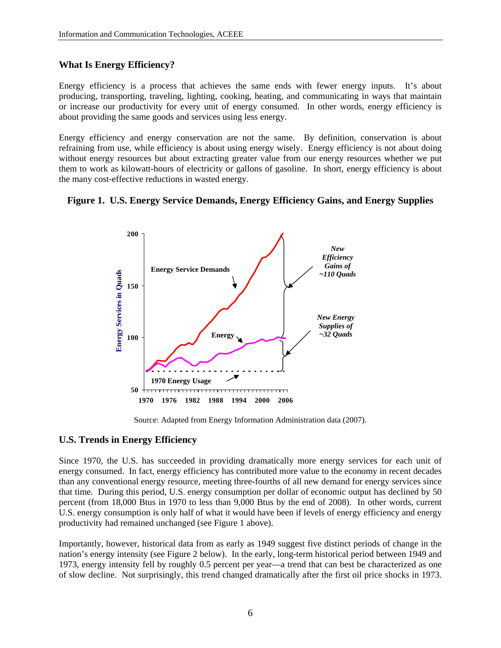#### <span id="page-13-0"></span>**What Is Energy Efficiency?**

Energy efficiency is a process that achieves the same ends with fewer energy inputs. It's about producing, transporting, traveling, lighting, cooking, heating, and communicating in ways that maintain or increase our productivity for every unit of energy consumed. In other words, energy efficiency is about providing the same goods and services using less energy.

Energy efficiency and energy conservation are not the same. By definition, conservation is about refraining from use, while efficiency is about using energy wisely. Energy efficiency is not about doing without energy resources but about extracting greater value from our energy resources whether we put them to work as kilowatt-hours of electricity or gallons of gasoline. In short, energy efficiency is about the many cost-effective reductions in wasted energy.





Source: Adapted from Energy Information Administration data (2007).

### **U.S. Trends in Energy Efficiency**

Since 1970, the U.S. has succeeded in providing dramatically more energy services for each unit of energy consumed. In fact, energy efficiency has contributed more value to the economy in recent decades than any conventional energy resource, meeting three-fourths of all new demand for energy services since that time. During this period, U.S. energy consumption per dollar of economic output has declined by 50 percent (from 18,000 Btus in 1970 to less than 9,000 Btus by the end of 2008). In other words, current U.S. energy consumption is only half of what it would have been if levels of energy efficiency and energy productivity had remained unchanged (see Figure 1 above).

Importantly, however, historical data from as early as 1949 suggest five distinct periods of change in the nation's energy intensity (see Figure 2 below). In the early, long-term historical period between 1949 and 1973, energy intensity fell by roughly 0.5 percent per year—a trend that can best be characterized as one of slow decline. Not surprisingly, this trend changed dramatically after the first oil price shocks in 1973.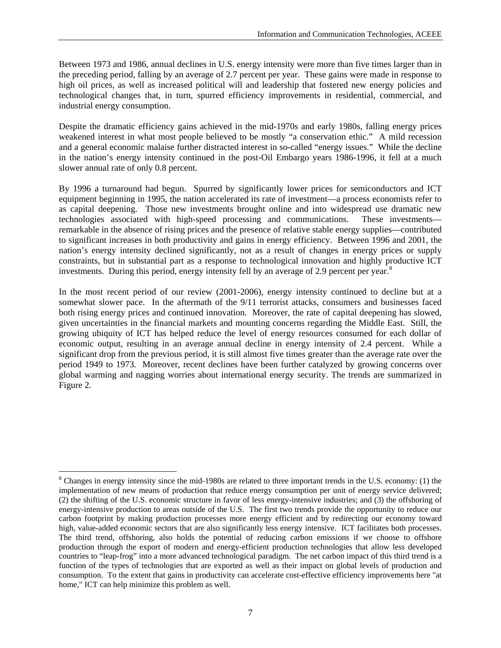Between 1973 and 1986, annual declines in U.S. energy intensity were more than five times larger than in the preceding period, falling by an average of 2.7 percent per year. These gains were made in response to high oil prices, as well as increased political will and leadership that fostered new energy policies and technological changes that, in turn, spurred efficiency improvements in residential, commercial, and industrial energy consumption.

Despite the dramatic efficiency gains achieved in the mid-1970s and early 1980s, falling energy prices weakened interest in what most people believed to be mostly "a conservation ethic." A mild recession and a general economic malaise further distracted interest in so-called "energy issues." While the decline in the nation's energy intensity continued in the post-Oil Embargo years 1986-1996, it fell at a much slower annual rate of only 0.8 percent.

By 1996 a turnaround had begun. Spurred by significantly lower prices for semiconductors and ICT equipment beginning in 1995, the nation accelerated its rate of investment—a process economists refer to as capital deepening. Those new investments brought online and into widespread use dramatic new technologies associated with high-speed processing and communications. These investments remarkable in the absence of rising prices and the presence of relative stable energy supplies—contributed to significant increases in both productivity and gains in energy efficiency. Between 1996 and 2001, the nation's energy intensity declined significantly, not as a result of changes in energy prices or supply constraints, but in substantial part as a response to technological innovation and highly productive ICT investments. During this period, energy intensity fell by an average of 2.9 percent per year.<sup>[8](#page-14-0)</sup>

In the most recent period of our review (2001-2006), energy intensity continued to decline but at a somewhat slower pace. In the aftermath of the 9/11 terrorist attacks, consumers and businesses faced both rising energy prices and continued innovation. Moreover, the rate of capital deepening has slowed, given uncertainties in the financial markets and mounting concerns regarding the Middle East. Still, the growing ubiquity of ICT has helped reduce the level of energy resources consumed for each dollar of economic output, resulting in an average annual decline in energy intensity of 2.4 percent. While a significant drop from the previous period, it is still almost five times greater than the average rate over the period 1949 to 1973. Moreover, recent declines have been further catalyzed by growing concerns over global warming and nagging worries about international energy security. The trends are summarized in Figure 2.

 $\overline{a}$ 

<span id="page-14-0"></span> $8$  Changes in energy intensity since the mid-1980s are related to three important trends in the U.S. economy: (1) the implementation of new means of production that reduce energy consumption per unit of energy service delivered; (2) the shifting of the U.S. economic structure in favor of less energy-intensive industries; and (3) the offshoring of energy-intensive production to areas outside of the U.S. The first two trends provide the opportunity to reduce our carbon footprint by making production processes more energy efficient and by redirecting our economy toward high, value-added economic sectors that are also significantly less energy intensive. ICT facilitates both processes. The third trend, offshoring, also holds the potential of reducing carbon emissions if we choose to offshore production through the export of modern and energy-efficient production technologies that allow less developed countries to "leap-frog" into a more advanced technological paradigm. The net carbon impact of this third trend is a function of the types of technologies that are exported as well as their impact on global levels of production and consumption. To the extent that gains in productivity can accelerate cost-effective efficiency improvements here "at home," ICT can help minimize this problem as well.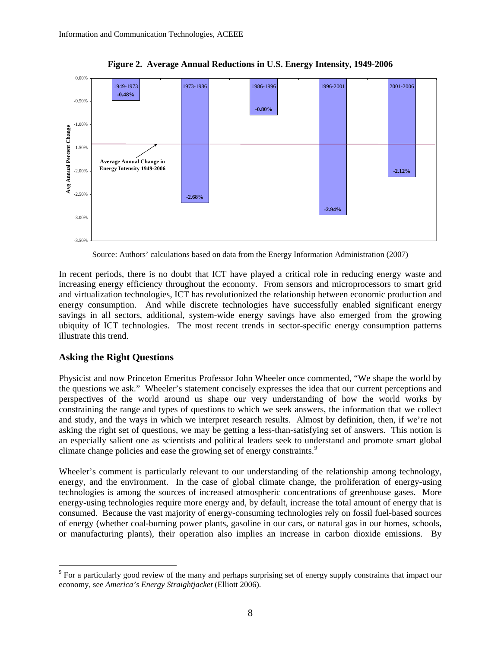<span id="page-15-0"></span>

**Figure 2. Average Annual Reductions in U.S. Energy Intensity, 1949-2006** 

Source: Authors' calculations based on data from the Energy Information Administration (2007)

In recent periods, there is no doubt that ICT have played a critical role in reducing energy waste and increasing energy efficiency throughout the economy. From sensors and microprocessors to smart grid and virtualization technologies, ICT has revolutionized the relationship between economic production and energy consumption. And while discrete technologies have successfully enabled significant energy savings in all sectors, additional, system-wide energy savings have also emerged from the growing ubiquity of ICT technologies. The most recent trends in sector-specific energy consumption patterns illustrate this trend.

#### **Asking the Right Questions**

 $\overline{a}$ 

Physicist and now Princeton Emeritus Professor John Wheeler once commented, "We shape the world by the questions we ask."Wheeler's statement concisely expresses the idea that our current perceptions and perspectives of the world around us shape our very understanding of how the world works by constraining the range and types of questions to which we seek answers, the information that we collect and study, and the ways in which we interpret research results. Almost by definition, then, if we're not asking the right set of questions, we may be getting a less-than-satisfying set of answers. This notion is an especially salient one as scientists and political leaders seek to understand and promote smart global climate change policies and ease the growing set of energy constraints.<sup>[9](#page-15-1)</sup>

Wheeler's comment is particularly relevant to our understanding of the relationship among technology, energy, and the environment. In the case of global climate change, the proliferation of energy-using technologies is among the sources of increased atmospheric concentrations of greenhouse gases. More energy-using technologies require more energy and, by default, increase the total amount of energy that is consumed. Because the vast majority of energy-consuming technologies rely on fossil fuel-based sources of energy (whether coal-burning power plants, gasoline in our cars, or natural gas in our homes, schools, or manufacturing plants), their operation also implies an increase in carbon dioxide emissions. By

<span id="page-15-1"></span><sup>&</sup>lt;sup>9</sup> For a particularly good review of the many and perhaps surprising set of energy supply constraints that impact our economy, see *America's Energy Straightjacket* (Elliott 2006).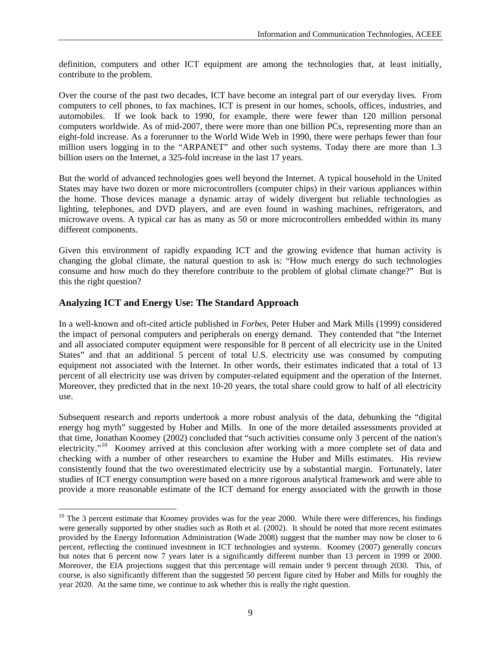<span id="page-16-0"></span>definition, computers and other ICT equipment are among the technologies that, at least initially, contribute to the problem.

Over the course of the past two decades, ICT have become an integral part of our everyday lives. From computers to cell phones, to fax machines, ICT is present in our homes, schools, offices, industries, and automobiles. If we look back to 1990, for example, there were fewer than 120 million personal computers worldwide. As of mid-2007, there were more than one billion PCs, representing more than an eight-fold increase. As a forerunner to the World Wide Web in 1990, there were perhaps fewer than four million users logging in to the "ARPANET" and other such systems. Today there are more than 1.3 billion users on the Internet, a 325-fold increase in the last 17 years.

But the world of advanced technologies goes well beyond the Internet. A typical household in the United States may have two dozen or more microcontrollers (computer chips) in their various appliances within the home. Those devices manage a dynamic array of widely divergent but reliable technologies as lighting, telephones, and DVD players, and are even found in washing machines, refrigerators, and microwave ovens. A typical car has as many as 50 or more microcontrollers embedded within its many different components.

Given this environment of rapidly expanding ICT and the growing evidence that human activity is changing the global climate, the natural question to ask is: "How much energy do such technologies consume and how much do they therefore contribute to the problem of global climate change?" But is this the right question?

### **Analyzing ICT and Energy Use: The Standard Approach**

 $\overline{a}$ 

In a well-known and oft-cited article published in *Forbes*, Peter Huber and Mark Mills (1999) considered the impact of personal computers and peripherals on energy demand. They contended that "the Internet and all associated computer equipment were responsible for 8 percent of all electricity use in the United States" and that an additional 5 percent of total U.S. electricity use was consumed by computing equipment not associated with the Internet. In other words, their estimates indicated that a total of 13 percent of all electricity use was driven by computer-related equipment and the operation of the Internet. Moreover, they predicted that in the next 10-20 years, the total share could grow to half of all electricity use.

Subsequent research and reports undertook a more robust analysis of the data, debunking the "digital energy hog myth" suggested by Huber and Mills. In one of the more detailed assessments provided at that time, Jonathan Koomey (2002) concluded that "such activities consume only 3 percent of the nation's electricity."<sup>[10](#page-16-1)</sup> Koomey arrived at this conclusion after working with a more complete set of data and checking with a number of other researchers to examine the Huber and Mills estimates. His review consistently found that the two overestimated electricity use by a substantial margin. Fortunately, later studies of ICT energy consumption were based on a more rigorous analytical framework and were able to provide a more reasonable estimate of the ICT demand for energy associated with the growth in those

<span id="page-16-1"></span> $10$  The 3 percent estimate that Koomey provides was for the year 2000. While there were differences, his findings were generally supported by other studies such as Roth et al. (2002). It should be noted that more recent estimates provided by the Energy Information Administration (Wade 2008) suggest that the number may now be closer to 6 percent, reflecting the continued investment in ICT technologies and systems. Koomey (2007) generally concurs but notes that 6 percent now 7 years later is a significantly different number than 13 percent in 1999 or 2000. Moreover, the EIA projections suggest that this percentage will remain under 9 percent through 2030. This, of course, is also significantly different than the suggested 50 percent figure cited by Huber and Mills for roughly the year 2020. At the same time, we continue to ask whether this is really the right question.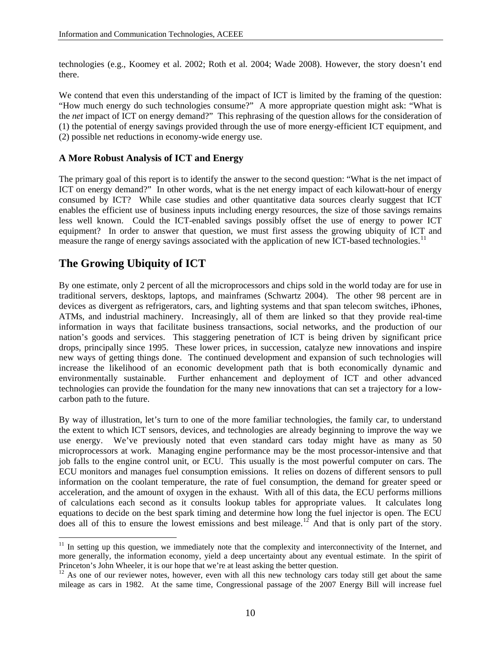<span id="page-17-0"></span>technologies (e.g., Koomey et al. 2002; Roth et al. 2004; Wade 2008). However, the story doesn't end there.

We contend that even this understanding of the impact of ICT is limited by the framing of the question: "How much energy do such technologies consume?" A more appropriate question might ask: "What is the *net* impact of ICT on energy demand?" This rephrasing of the question allows for the consideration of (1) the potential of energy savings provided through the use of more energy-efficient ICT equipment, and (2) possible net reductions in economy-wide energy use.

### **A More Robust Analysis of ICT and Energy**

The primary goal of this report is to identify the answer to the second question: "What is the net impact of ICT on energy demand?" In other words, what is the net energy impact of each kilowatt-hour of energy consumed by ICT? While case studies and other quantitative data sources clearly suggest that ICT enables the efficient use of business inputs including energy resources, the size of those savings remains less well known. Could the ICT-enabled savings possibly offset the use of energy to power ICT equipment? In order to answer that question, we must first assess the growing ubiquity of ICT and measure the range of energy savings associated with the application of new ICT-based technologies.<sup>[11](#page-17-1)</sup>

# **The Growing Ubiquity of ICT**

 $\overline{a}$ 

By one estimate, only 2 percent of all the microprocessors and chips sold in the world today are for use in traditional servers, desktops, laptops, and mainframes (Schwartz 2004). The other 98 percent are in devices as divergent as refrigerators, cars, and lighting systems and that span telecom switches, iPhones, ATMs, and industrial machinery. Increasingly, all of them are linked so that they provide real-time information in ways that facilitate business transactions, social networks, and the production of our nation's goods and services. This staggering penetration of ICT is being driven by significant price drops, principally since 1995. These lower prices, in succession, catalyze new innovations and inspire new ways of getting things done. The continued development and expansion of such technologies will increase the likelihood of an economic development path that is both economically dynamic and environmentally sustainable. Further enhancement and deployment of ICT and other advanced technologies can provide the foundation for the many new innovations that can set a trajectory for a lowcarbon path to the future.

By way of illustration, let's turn to one of the more familiar technologies, the family car, to understand the extent to which ICT sensors, devices, and technologies are already beginning to improve the way we use energy. We've previously noted that even standard cars today might have as many as 50 microprocessors at work. Managing engine performance may be the most processor-intensive and that job falls to the engine control unit, or ECU. This usually is the most powerful computer on cars. The ECU monitors and manages fuel consumption emissions. It relies on dozens of different sensors to pull information on the coolant temperature, the rate of fuel consumption, the demand for greater speed or acceleration, and the amount of oxygen in the exhaust. With all of this data, the ECU performs millions of calculations each second as it consults lookup tables for appropriate values. It calculates long equations to decide on the best spark timing and determine how long the fuel injector is open. The ECU does all of this to ensure the lowest emissions and best mileage.<sup>[12](#page-17-2)</sup> And that is only part of the story.

<span id="page-17-1"></span> $11$  In setting up this question, we immediately note that the complexity and interconnectivity of the Internet, and more generally, the information economy, yield a deep uncertainty about any eventual estimate. In the spirit of Princeton's John Wheeler, it is our hope that we're at least asking the better question.

<span id="page-17-2"></span> $P<sup>12</sup>$  As one of our reviewer notes, however, even with all this new technology cars today still get about the same mileage as cars in 1982. At the same time, Congressional passage of the 2007 Energy Bill will increase fuel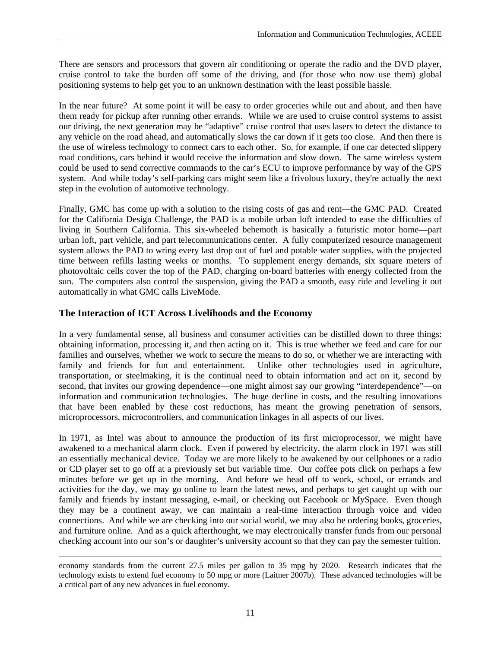<span id="page-18-0"></span>There are sensors and processors that govern air conditioning or operate the radio and the DVD player, cruise control to take the burden off some of the driving, and (for those who now use them) global positioning systems to help get you to an unknown destination with the least possible hassle.

In the near future? At some point it will be easy to order groceries while out and about, and then have them ready for pickup after running other errands. While we are used to cruise control systems to assist our driving, the next generation may be "adaptive" cruise control that uses lasers to detect the distance to any vehicle on the road ahead, and automatically slows the car down if it gets too close. And then there is the use of wireless technology to connect cars to each other. So, for example, if one car detected slippery road conditions, cars behind it would receive the information and slow down. The same wireless system could be used to send corrective commands to the car's ECU to improve performance by way of the GPS system. And while today's self-parking cars might seem like a frivolous luxury, they're actually the next step in the evolution of automotive technology.

Finally, GMC has come up with a solution to the rising costs of gas and rent—the GMC PAD. Created for the California Design Challenge, the PAD is a mobile urban loft intended to ease the difficulties of living in Southern California. This six-wheeled behemoth is basically a futuristic motor home—part urban loft, part vehicle, and part telecommunications center. A fully computerized resource management system allows the PAD to wring every last drop out of fuel and potable water supplies, with the projected time between refills lasting weeks or months. To supplement energy demands, six square meters of photovoltaic cells cover the top of the PAD, charging on-board batteries with energy collected from the sun. The computers also control the suspension, giving the PAD a smooth, easy ride and leveling it out automatically in what GMC calls LiveMode.

### **The Interaction of ICT Across Livelihoods and the Economy**

In a very fundamental sense, all business and consumer activities can be distilled down to three things: obtaining information, processing it, and then acting on it. This is true whether we feed and care for our families and ourselves, whether we work to secure the means to do so, or whether we are interacting with family and friends for fun and entertainment. Unlike other technologies used in agriculture, transportation, or steelmaking, it is the continual need to obtain information and act on it, second by second, that invites our growing dependence—one might almost say our growing "interdependence"—on information and communication technologies. The huge decline in costs, and the resulting innovations that have been enabled by these cost reductions, has meant the growing penetration of sensors, microprocessors, microcontrollers, and communication linkages in all aspects of our lives.

In 1971, as Intel was about to announce the production of its first microprocessor, we might have awakened to a mechanical alarm clock. Even if powered by electricity, the alarm clock in 1971 was still an essentially mechanical device. Today we are more likely to be awakened by our cellphones or a radio or CD player set to go off at a previously set but variable time. Our coffee pots click on perhaps a few minutes before we get up in the morning. And before we head off to work, school, or errands and activities for the day, we may go online to learn the latest news, and perhaps to get caught up with our family and friends by instant messaging, e-mail, or checking out Facebook or MySpace. Even though they may be a continent away, we can maintain a real-time interaction through voice and video connections. And while we are checking into our social world, we may also be ordering books, groceries, and furniture online. And as a quick afterthought, we may electronically transfer funds from our personal checking account into our son's or daughter's university account so that they can pay the semester tuition.

economy standards from the current 27.5 miles per gallon to 35 mpg by 2020. Research indicates that the technology exists to extend fuel economy to 50 mpg or more (Laitner 2007b). These advanced technologies will be a critical part of any new advances in fuel economy.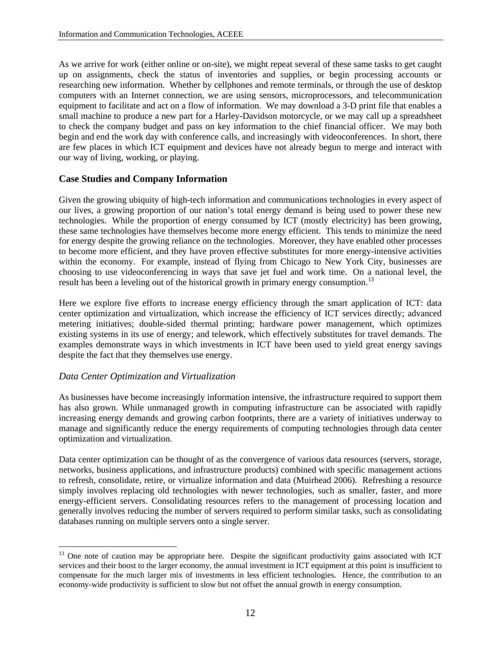<span id="page-19-0"></span>As we arrive for work (either online or on-site), we might repeat several of these same tasks to get caught up on assignments, check the status of inventories and supplies, or begin processing accounts or researching new information. Whether by cellphones and remote terminals, or through the use of desktop computers with an Internet connection, we are using sensors, microprocessors, and telecommunication equipment to facilitate and act on a flow of information. We may download a 3-D print file that enables a small machine to produce a new part for a Harley-Davidson motorcycle, or we may call up a spreadsheet to check the company budget and pass on key information to the chief financial officer. We may both begin and end the work day with conference calls, and increasingly with videoconferences. In short, there are few places in which ICT equipment and devices have not already begun to merge and interact with our way of living, working, or playing.

#### **Case Studies and Company Information**

Given the growing ubiquity of high-tech information and communications technologies in every aspect of our lives, a growing proportion of our nation's total energy demand is being used to power these new technologies. While the proportion of energy consumed by ICT (mostly electricity) has been growing, these same technologies have themselves become more energy efficient. This tends to minimize the need for energy despite the growing reliance on the technologies. Moreover, they have enabled other processes to become more efficient, and they have proven effective substitutes for more energy-intensive activities within the economy. For example, instead of flying from Chicago to New York City, businesses are choosing to use videoconferencing in ways that save jet fuel and work time. On a national level, the result has been a leveling out of the historical growth in primary energy consumption.<sup>[13](#page-19-1)</sup>

Here we explore five efforts to increase energy efficiency through the smart application of ICT: data center optimization and virtualization, which increase the efficiency of ICT services directly; advanced metering initiatives; double-sided thermal printing; hardware power management, which optimizes existing systems in its use of energy; and telework, which effectively substitutes for travel demands. The examples demonstrate ways in which investments in ICT have been used to yield great energy savings despite the fact that they themselves use energy.

#### *Data Center Optimization and Virtualization*

 $\overline{a}$ 

As businesses have become increasingly information intensive, the infrastructure required to support them has also grown. While unmanaged growth in computing infrastructure can be associated with rapidly increasing energy demands and growing carbon footprints, there are a variety of initiatives underway to manage and significantly reduce the energy requirements of computing technologies through data center optimization and virtualization.

Data center optimization can be thought of as the convergence of various data resources (servers, storage, networks, business applications, and infrastructure products) combined with specific management actions to refresh, consolidate, retire, or virtualize information and data (Muirhead 2006). Refreshing a resource simply involves replacing old technologies with newer technologies, such as smaller, faster, and more energy-efficient servers. Consolidating resources refers to the management of processing location and generally involves reducing the number of servers required to perform similar tasks, such as consolidating databases running on multiple servers onto a single server.

<span id="page-19-1"></span><sup>&</sup>lt;sup>13</sup> One note of caution may be appropriate here. Despite the significant productivity gains associated with ICT services and their boost to the larger economy, the annual investment in ICT equipment at this point is insufficient to compensate for the much larger mix of investments in less efficient technologies. Hence, the contribution to an economy-wide productivity is sufficient to slow but not offset the annual growth in energy consumption.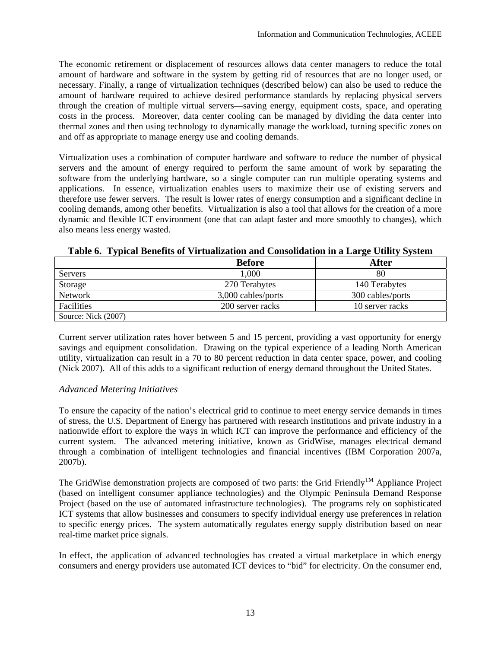<span id="page-20-0"></span>The economic retirement or displacement of resources allows data center managers to reduce the total amount of hardware and software in the system by getting rid of resources that are no longer used, or necessary. Finally, a range of virtualization techniques (described below) can also be used to reduce the amount of hardware required to achieve desired performance standards by replacing physical servers through the creation of multiple virtual servers—saving energy, equipment costs, space, and operating costs in the process. Moreover, data center cooling can be managed by dividing the data center into thermal zones and then using technology to dynamically manage the workload, turning specific zones on and off as appropriate to manage energy use and cooling demands.

Virtualization uses a combination of computer hardware and software to reduce the number of physical servers and the amount of energy required to perform the same amount of work by separating the software from the underlying hardware, so a single computer can run multiple operating systems and applications. In essence, virtualization enables users to maximize their use of existing servers and therefore use fewer servers. The result is lower rates of energy consumption and a significant decline in cooling demands, among other benefits. Virtualization is also a tool that allows for the creation of a more dynamic and flexible ICT environment (one that can adapt faster and more smoothly to changes), which also means less energy wasted.

|                     | <b>Before</b>      | <b>After</b>     |
|---------------------|--------------------|------------------|
| Servers             | 1,000              | 80               |
| Storage             | 270 Terabytes      | 140 Terabytes    |
| Network             | 3,000 cables/ports | 300 cables/ports |
| <b>Facilities</b>   | 200 server racks   | 10 server racks  |
| Source: Nick (2007) |                    |                  |

**Table 6. Typical Benefits of Virtualization and Consolidation in a Large Utility System** 

Current server utilization rates hover between 5 and 15 percent, providing a vast opportunity for energy savings and equipment consolidation. Drawing on the typical experience of a leading North American utility, virtualization can result in a 70 to 80 percent reduction in data center space, power, and cooling (Nick 2007). All of this adds to a significant reduction of energy demand throughout the United States.

#### *Advanced Metering Initiatives*

To ensure the capacity of the nation's electrical grid to continue to meet energy service demands in times of stress, the U.S. Department of Energy has partnered with research institutions and private industry in a nationwide effort to explore the ways in which ICT can improve the performance and efficiency of the current system. The advanced metering initiative, known as GridWise, manages electrical demand through a combination of intelligent technologies and financial incentives (IBM Corporation 2007a, 2007b).

The GridWise demonstration projects are composed of two parts: the Grid Friendly<sup>TM</sup> Appliance Project (based on intelligent consumer appliance technologies) and the Olympic Peninsula Demand Response Project (based on the use of automated infrastructure technologies). The programs rely on sophisticated ICT systems that allow businesses and consumers to specify individual energy use preferences in relation to specific energy prices. The system automatically regulates energy supply distribution based on near real-time market price signals.

In effect, the application of advanced technologies has created a virtual marketplace in which energy consumers and energy providers use automated ICT devices to "bid" for electricity. On the consumer end,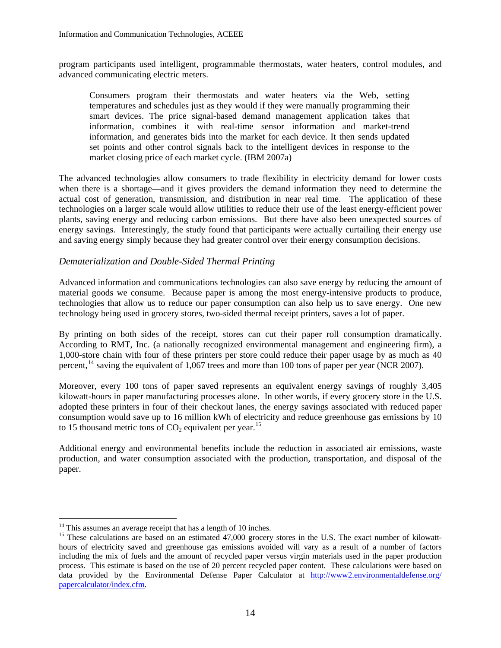<span id="page-21-0"></span>program participants used intelligent, programmable thermostats, water heaters, control modules, and advanced communicating electric meters.

Consumers program their thermostats and water heaters via the Web, setting temperatures and schedules just as they would if they were manually programming their smart devices. The price signal-based demand management application takes that information, combines it with real-time sensor information and market-trend information, and generates bids into the market for each device. It then sends updated set points and other control signals back to the intelligent devices in response to the market closing price of each market cycle. (IBM 2007a)

The advanced technologies allow consumers to trade flexibility in electricity demand for lower costs when there is a shortage—and it gives providers the demand information they need to determine the actual cost of generation, transmission, and distribution in near real time. The application of these technologies on a larger scale would allow utilities to reduce their use of the least energy-efficient power plants, saving energy and reducing carbon emissions. But there have also been unexpected sources of energy savings. Interestingly, the study found that participants were actually curtailing their energy use and saving energy simply because they had greater control over their energy consumption decisions.

#### *Dematerialization and Double-Sided Thermal Printing*

Advanced information and communications technologies can also save energy by reducing the amount of material goods we consume. Because paper is among the most energy-intensive products to produce, technologies that allow us to reduce our paper consumption can also help us to save energy. One new technology being used in grocery stores, two-sided thermal receipt printers, saves a lot of paper.

By printing on both sides of the receipt, stores can cut their paper roll consumption dramatically. According to RMT, Inc. (a nationally recognized environmental management and engineering firm), a 1,000-store chain with four of these printers per store could reduce their paper usage by as much as 40 percent,<sup>[14](#page-21-1)</sup> saving the equivalent of 1,067 trees and more than 100 tons of paper per year (NCR 2007).

Moreover, every 100 tons of paper saved represents an equivalent energy savings of roughly 3,405 kilowatt-hours in paper manufacturing processes alone. In other words, if every grocery store in the U.S. adopted these printers in four of their checkout lanes, the energy savings associated with reduced paper consumption would save up to 16 million kWh of electricity and reduce greenhouse gas emissions by 10 to [15](#page-21-2) thousand metric tons of  $CO<sub>2</sub>$  equivalent per year.<sup>15</sup>

Additional energy and environmental benefits include the reduction in associated air emissions, waste production, and water consumption associated with the production, transportation, and disposal of the paper.

 $\overline{a}$ 

<span id="page-21-1"></span><sup>&</sup>lt;sup>14</sup> This assumes an average receipt that has a length of 10 inches.

<span id="page-21-2"></span><sup>&</sup>lt;sup>15</sup> These calculations are based on an estimated 47,000 grocery stores in the U.S. The exact number of kilowatthours of electricity saved and greenhouse gas emissions avoided will vary as a result of a number of factors including the mix of fuels and the amount of recycled paper versus virgin materials used in the paper production process. This estimate is based on the use of 20 percent recycled paper content. These calculations were based on data provided by the Environmental Defense Paper Calculator at http://www2.environmentaldefense.org/ [papercalculator/index.cfm.](http://www2.environmentaldefense.org/%20papercalculator/index.cfm)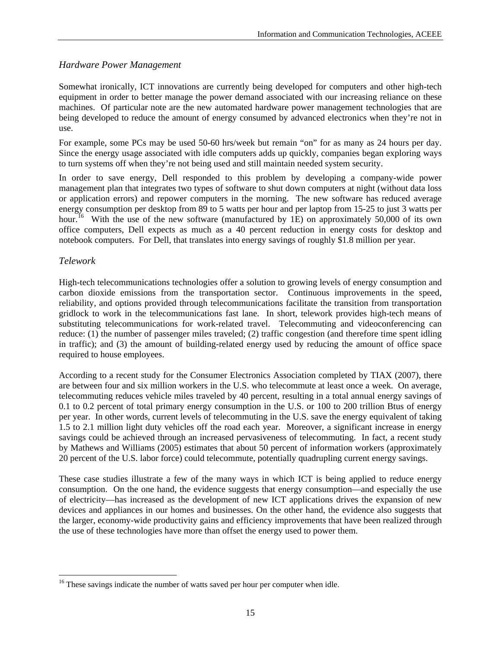#### <span id="page-22-0"></span>*Hardware Power Management*

Somewhat ironically, ICT innovations are currently being developed for computers and other high-tech equipment in order to better manage the power demand associated with our increasing reliance on these machines. Of particular note are the new automated hardware power management technologies that are being developed to reduce the amount of energy consumed by advanced electronics when they're not in use.

For example, some PCs may be used 50-60 hrs/week but remain "on" for as many as 24 hours per day. Since the energy usage associated with idle computers adds up quickly, companies began exploring ways to turn systems off when they're not being used and still maintain needed system security.

In order to save energy, Dell responded to this problem by developing a company-wide power management plan that integrates two types of software to shut down computers at night (without data loss or application errors) and repower computers in the morning. The new software has reduced average energy consumption per desktop from 89 to 5 watts per hour and per laptop from 15-25 to just 3 watts per hour.<sup>[16](#page-22-1)</sup> With the use of the new software (manufactured by  $1E$ ) on approximately 50,000 of its own office computers, Dell expects as much as a 40 percent reduction in energy costs for desktop and notebook computers. For Dell, that translates into energy savings of roughly \$1.8 million per year.

#### *Telework*

 $\overline{a}$ 

High-tech telecommunications technologies offer a solution to growing levels of energy consumption and carbon dioxide emissions from the transportation sector. Continuous improvements in the speed, reliability, and options provided through telecommunications facilitate the transition from transportation gridlock to work in the telecommunications fast lane. In short, telework provides high-tech means of substituting telecommunications for work-related travel. Telecommuting and videoconferencing can reduce: (1) the number of passenger miles traveled; (2) traffic congestion (and therefore time spent idling in traffic); and (3) the amount of building-related energy used by reducing the amount of office space required to house employees.

According to a recent study for the Consumer Electronics Association completed by TIAX (2007), there are between four and six million workers in the U.S. who telecommute at least once a week. On average, telecommuting reduces vehicle miles traveled by 40 percent, resulting in a total annual energy savings of 0.1 to 0.2 percent of total primary energy consumption in the U.S. or 100 to 200 trillion Btus of energy per year. In other words, current levels of telecommuting in the U.S. save the energy equivalent of taking 1.5 to 2.1 million light duty vehicles off the road each year. Moreover, a significant increase in energy savings could be achieved through an increased pervasiveness of telecommuting. In fact, a recent study by Mathews and Williams (2005) estimates that about 50 percent of information workers (approximately 20 percent of the U.S. labor force) could telecommute, potentially quadrupling current energy savings.

These case studies illustrate a few of the many ways in which ICT is being applied to reduce energy consumption. On the one hand, the evidence suggests that energy consumption—and especially the use of electricity—has increased as the development of new ICT applications drives the expansion of new devices and appliances in our homes and businesses. On the other hand, the evidence also suggests that the larger, economy-wide productivity gains and efficiency improvements that have been realized through the use of these technologies have more than offset the energy used to power them.

<span id="page-22-1"></span><sup>&</sup>lt;sup>16</sup> These savings indicate the number of watts saved per hour per computer when idle.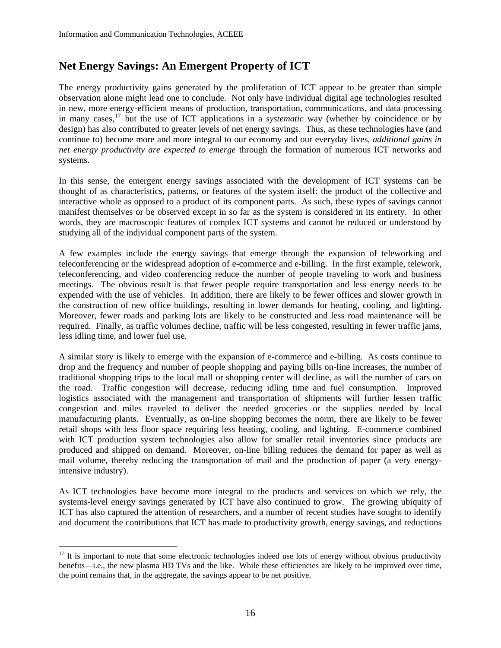$\overline{a}$ 

# <span id="page-23-0"></span>**Net Energy Savings: An Emergent Property of ICT**

The energy productivity gains generated by the proliferation of ICT appear to be greater than simple observation alone might lead one to conclude. Not only have individual digital age technologies resulted in new, more energy-efficient means of production, transportation, communications, and data processing in many cases,[17](#page-23-1) but the use of ICT applications in a *systematic* way (whether by coincidence or by design) has also contributed to greater levels of net energy savings. Thus, as these technologies have (and continue to) become more and more integral to our economy and our everyday lives, *additional gains in net energy productivity are expected to emerge* through the formation of numerous ICT networks and systems.

In this sense, the emergent energy savings associated with the development of ICT systems can be thought of as characteristics, patterns, or features of the system itself: the product of the collective and interactive whole as opposed to a product of its component parts. As such, these types of savings cannot manifest themselves or be observed except in so far as the system is considered in its entirety. In other words, they are macroscopic features of complex ICT systems and cannot be reduced or understood by studying all of the individual component parts of the system.

A few examples include the energy savings that emerge through the expansion of teleworking and teleconferencing or the widespread adoption of e-commerce and e-billing. In the first example, telework, teleconferencing, and video conferencing reduce the number of people traveling to work and business meetings. The obvious result is that fewer people require transportation and less energy needs to be expended with the use of vehicles. In addition, there are likely to be fewer offices and slower growth in the construction of new office buildings, resulting in lower demands for heating, cooling, and lighting. Moreover, fewer roads and parking lots are likely to be constructed and less road maintenance will be required. Finally, as traffic volumes decline, traffic will be less congested, resulting in fewer traffic jams, less idling time, and lower fuel use.

A similar story is likely to emerge with the expansion of e-commerce and e-billing. As costs continue to drop and the frequency and number of people shopping and paying bills on-line increases, the number of traditional shopping trips to the local mall or shopping center will decline, as will the number of cars on the road. Traffic congestion will decrease, reducing idling time and fuel consumption. Improved logistics associated with the management and transportation of shipments will further lessen traffic congestion and miles traveled to deliver the needed groceries or the supplies needed by local manufacturing plants. Eventually, as on-line shopping becomes the norm, there are likely to be fewer retail shops with less floor space requiring less heating, cooling, and lighting. E-commerce combined with ICT production system technologies also allow for smaller retail inventories since products are produced and shipped on demand. Moreover, on-line billing reduces the demand for paper as well as mail volume, thereby reducing the transportation of mail and the production of paper (a very energyintensive industry).

As ICT technologies have become more integral to the products and services on which we rely, the systems-level energy savings generated by ICT have also continued to grow. The growing ubiquity of ICT has also captured the attention of researchers, and a number of recent studies have sought to identify and document the contributions that ICT has made to productivity growth, energy savings, and reductions

<span id="page-23-1"></span> $17$  It is important to note that some electronic technologies indeed use lots of energy without obvious productivity benefits—i.e., the new plasma HD TVs and the like. While these efficiencies are likely to be improved over time, the point remains that, in the aggregate, the savings appear to be net positive.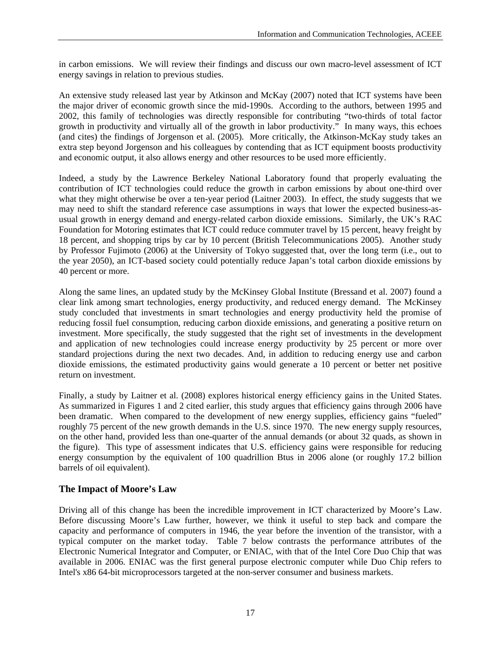<span id="page-24-0"></span>in carbon emissions. We will review their findings and discuss our own macro-level assessment of ICT energy savings in relation to previous studies.

An extensive study released last year by Atkinson and McKay (2007) noted that ICT systems have been the major driver of economic growth since the mid-1990s. According to the authors, between 1995 and 2002, this family of technologies was directly responsible for contributing "two-thirds of total factor growth in productivity and virtually all of the growth in labor productivity." In many ways, this echoes (and cites) the findings of Jorgenson et al. (2005). More critically, the Atkinson-McKay study takes an extra step beyond Jorgenson and his colleagues by contending that as ICT equipment boosts productivity and economic output, it also allows energy and other resources to be used more efficiently.

Indeed, a study by the Lawrence Berkeley National Laboratory found that properly evaluating the contribution of ICT technologies could reduce the growth in carbon emissions by about one-third over what they might otherwise be over a ten-year period (Laitner 2003). In effect, the study suggests that we may need to shift the standard reference case assumptions in ways that lower the expected business-asusual growth in energy demand and energy-related carbon dioxide emissions. Similarly, the UK's RAC Foundation for Motoring estimates that ICT could reduce commuter travel by 15 percent, heavy freight by 18 percent, and shopping trips by car by 10 percent (British Telecommunications 2005). Another study by Professor Fujimoto (2006) at the University of Tokyo suggested that, over the long term (i.e., out to the year 2050), an ICT-based society could potentially reduce Japan's total carbon dioxide emissions by 40 percent or more.

Along the same lines, an updated study by the McKinsey Global Institute (Bressand et al. 2007) found a clear link among smart technologies, energy productivity, and reduced energy demand. The McKinsey study concluded that investments in smart technologies and energy productivity held the promise of reducing fossil fuel consumption, reducing carbon dioxide emissions, and generating a positive return on investment. More specifically, the study suggested that the right set of investments in the development and application of new technologies could increase energy productivity by 25 percent or more over standard projections during the next two decades. And, in addition to reducing energy use and carbon dioxide emissions, the estimated productivity gains would generate a 10 percent or better net positive return on investment.

Finally, a study by Laitner et al. (2008) explores historical energy efficiency gains in the United States. As summarized in Figures 1 and 2 cited earlier, this study argues that efficiency gains through 2006 have been dramatic. When compared to the development of new energy supplies, efficiency gains "fueled" roughly 75 percent of the new growth demands in the U.S. since 1970. The new energy supply resources, on the other hand, provided less than one-quarter of the annual demands (or about 32 quads, as shown in the figure). This type of assessment indicates that U.S. efficiency gains were responsible for reducing energy consumption by the equivalent of 100 quadrillion Btus in 2006 alone (or roughly 17.2 billion barrels of oil equivalent).

#### **The Impact of Moore's Law**

Driving all of this change has been the incredible improvement in ICT characterized by Moore's Law. Before discussing Moore's Law further, however, we think it useful to step back and compare the capacity and performance of computers in 1946, the year before the invention of the transistor, with a typical computer on the market today. Table 7 below contrasts the performance attributes of the Electronic Numerical Integrator and Computer, or ENIAC, with that of the Intel Core Duo Chip that was available in 2006. ENIAC was the first general purpose electronic computer while Duo Chip refers to Intel's x86 64-bit microprocessors targeted at the non-server consumer and business markets.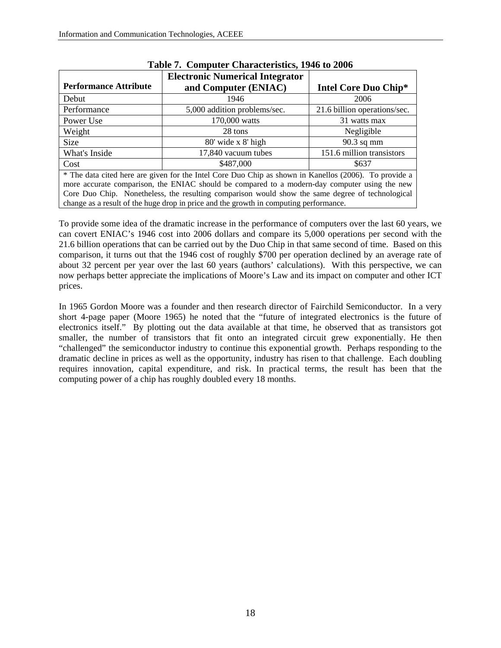|                                                                                                                                                                                                                                                                                                                                                                                                     | <b>Electronic Numerical Integrator</b> |                              |  |  |
|-----------------------------------------------------------------------------------------------------------------------------------------------------------------------------------------------------------------------------------------------------------------------------------------------------------------------------------------------------------------------------------------------------|----------------------------------------|------------------------------|--|--|
| <b>Performance Attribute</b>                                                                                                                                                                                                                                                                                                                                                                        | and Computer (ENIAC)                   | <b>Intel Core Duo Chip*</b>  |  |  |
| Debut                                                                                                                                                                                                                                                                                                                                                                                               | 1946                                   | 2006                         |  |  |
| Performance                                                                                                                                                                                                                                                                                                                                                                                         | 5,000 addition problems/sec.           | 21.6 billion operations/sec. |  |  |
| Power Use                                                                                                                                                                                                                                                                                                                                                                                           | 170,000 watts                          | 31 watts max                 |  |  |
| Weight                                                                                                                                                                                                                                                                                                                                                                                              | 28 tons                                | Negligible                   |  |  |
| Size                                                                                                                                                                                                                                                                                                                                                                                                | $80'$ wide x $8'$ high                 | $90.3$ sq mm                 |  |  |
| What's Inside                                                                                                                                                                                                                                                                                                                                                                                       | 17.840 vacuum tubes                    | 151.6 million transistors    |  |  |
| Cost                                                                                                                                                                                                                                                                                                                                                                                                | \$487,000                              | \$637                        |  |  |
| * The data cited here are given for the Intel Core Duo Chip as shown in Kanellos (2006). To provide a<br>more accurate comparison, the ENIAC should be compared to a modern-day computer using the new<br>Core Duo Chip. Nonetheless, the resulting comparison would show the same degree of technological<br>change as a result of the huge drop in price and the growth in computing performance. |                                        |                              |  |  |

### **Table 7. Computer Characteristics, 1946 to 2006**

To provide some idea of the dramatic increase in the performance of computers over the last 60 years, we can covert ENIAC's 1946 cost into 2006 dollars and compare its 5,000 operations per second with the 21.6 billion operations that can be carried out by the Duo Chip in that same second of time. Based on this comparison, it turns out that the 1946 cost of roughly \$700 per operation declined by an average rate of about 32 percent per year over the last 60 years (authors' calculations). With this perspective, we can now perhaps better appreciate the implications of Moore's Law and its impact on computer and other ICT prices.

In 1965 Gordon Moore was a founder and then research director of Fairchild Semiconductor. In a very short 4-page paper (Moore 1965) he noted that the "future of integrated electronics is the future of electronics itself." By plotting out the data available at that time, he observed that as transistors got smaller, the number of transistors that fit onto an integrated circuit grew exponentially. He then "challenged" the semiconductor industry to continue this exponential growth. Perhaps responding to the dramatic decline in prices as well as the opportunity, industry has risen to that challenge. Each doubling requires innovation, capital expenditure, and risk. In practical terms, the result has been that the computing power of a chip has roughly doubled every 18 months.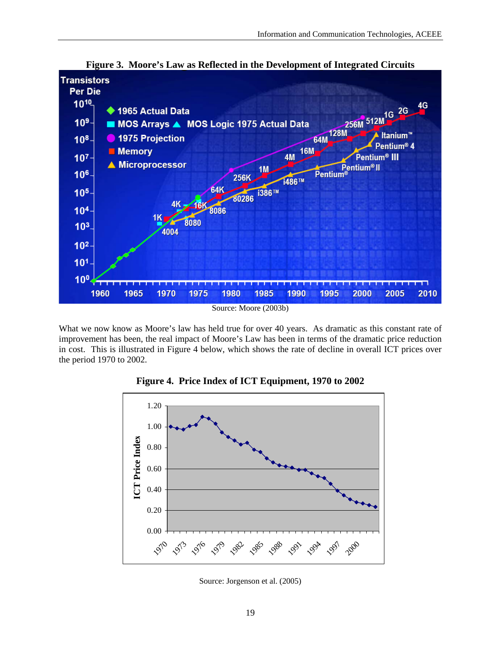

**Figure 3. Moore's Law as Reflected in the Development of Integrated Circuits** 

What we now know as Moore's law has held true for over 40 years. As dramatic as this constant rate of improvement has been, the real impact of Moore's Law has been in terms of the dramatic price reduction in cost. This is illustrated in Figure 4 below, which shows the rate of decline in overall ICT prices over the period 1970 to 2002.



**Figure 4. Price Index of ICT Equipment, 1970 to 2002** 

Source: Jorgenson et al. (2005)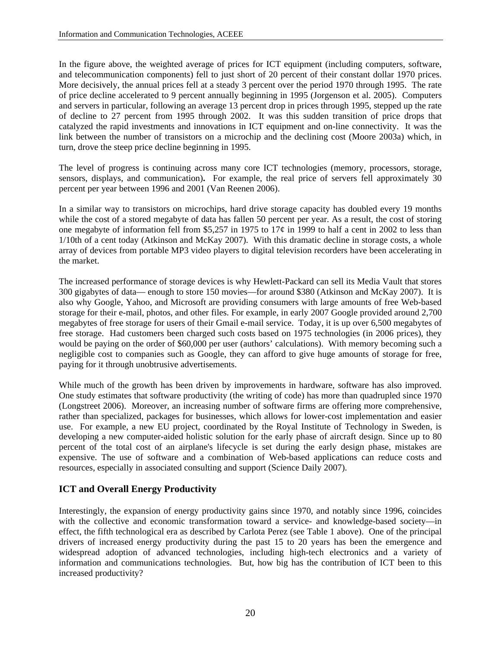<span id="page-27-0"></span>In the figure above, the weighted average of prices for ICT equipment (including computers, software, and telecommunication components) fell to just short of 20 percent of their constant dollar 1970 prices. More decisively, the annual prices fell at a steady 3 percent over the period 1970 through 1995. The rate of price decline accelerated to 9 percent annually beginning in 1995 (Jorgenson et al. 2005). Computers and servers in particular, following an average 13 percent drop in prices through 1995, stepped up the rate of decline to 27 percent from 1995 through 2002. It was this sudden transition of price drops that catalyzed the rapid investments and innovations in ICT equipment and on-line connectivity. It was the link between the number of transistors on a microchip and the declining cost (Moore 2003a) which, in turn, drove the steep price decline beginning in 1995.

The level of progress is continuing across many core ICT technologies (memory, processors, storage, sensors, displays, and communication)**.** For example, the real price of servers fell approximately 30 percent per year between 1996 and 2001 (Van Reenen 2006).

In a similar way to transistors on microchips, hard drive storage capacity has doubled every 19 months while the cost of a stored megabyte of data has fallen 50 percent per year. As a result, the cost of storing one megabyte of information fell from \$5,257 in 1975 to 17 $\varphi$  in 1999 to half a cent in 2002 to less than 1/10th of a cent today (Atkinson and McKay 2007). With this dramatic decline in storage costs, a whole array of devices from portable MP3 video players to digital television recorders have been accelerating in the market.

The increased performance of storage devices is why Hewlett-Packard can sell its Media Vault that stores 300 gigabytes of data— enough to store 150 movies—for around \$380 (Atkinson and McKay 2007). It is also why Google, Yahoo, and Microsoft are providing consumers with large amounts of free Web-based storage for their e-mail, photos, and other files. For example, in early 2007 Google provided around 2,700 megabytes of free storage for users of their Gmail e-mail service. Today, it is up over 6,500 megabytes of free storage. Had customers been charged such costs based on 1975 technologies (in 2006 prices), they would be paying on the order of \$60,000 per user (authors' calculations). With memory becoming such a negligible cost to companies such as Google, they can afford to give huge amounts of storage for free, paying for it through unobtrusive advertisements.

While much of the growth has been driven by improvements in hardware, software has also improved. One study estimates that software productivity (the writing of code) has more than quadrupled since 1970 (Longstreet 2006). Moreover, an increasing number of software firms are offering more comprehensive, rather than specialized, packages for businesses, which allows for lower-cost implementation and easier use. For example, a new EU project, coordinated by the Royal Institute of Technology in Sweden, is developing a new computer-aided holistic solution for the early phase of aircraft design. Since up to 80 percent of the total cost of an airplane's lifecycle is set during the early design phase, mistakes are expensive. The use of software and a combination of Web-based applications can reduce costs and resources, especially in associated consulting and support (Science Daily 2007).

### **ICT and Overall Energy Productivity**

Interestingly, the expansion of energy productivity gains since 1970, and notably since 1996, coincides with the collective and economic transformation toward a service- and knowledge-based society—in effect, the fifth technological era as described by Carlota Perez (see Table 1 above). One of the principal drivers of increased energy productivity during the past 15 to 20 years has been the emergence and widespread adoption of advanced technologies, including high-tech electronics and a variety of information and communications technologies. But, how big has the contribution of ICT been to this increased productivity?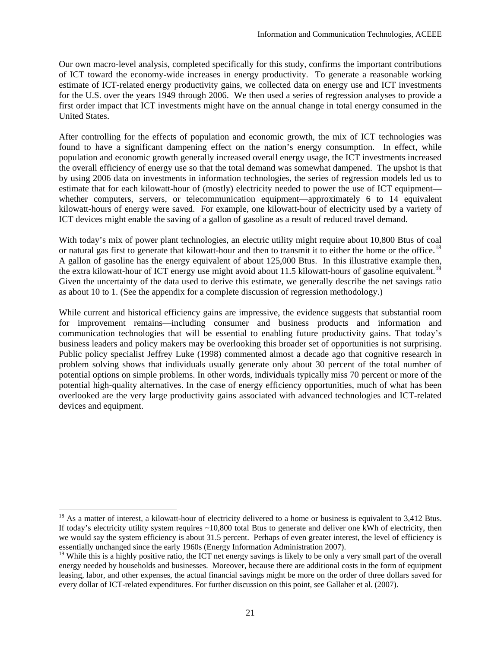Our own macro-level analysis, completed specifically for this study, confirms the important contributions of ICT toward the economy-wide increases in energy productivity. To generate a reasonable working estimate of ICT-related energy productivity gains, we collected data on energy use and ICT investments for the U.S. over the years 1949 through 2006. We then used a series of regression analyses to provide a first order impact that ICT investments might have on the annual change in total energy consumed in the United States.

After controlling for the effects of population and economic growth, the mix of ICT technologies was found to have a significant dampening effect on the nation's energy consumption. In effect, while population and economic growth generally increased overall energy usage, the ICT investments increased the overall efficiency of energy use so that the total demand was somewhat dampened. The upshot is that by using 2006 data on investments in information technologies, the series of regression models led us to estimate that for each kilowatt-hour of (mostly) electricity needed to power the use of ICT equipment whether computers, servers, or telecommunication equipment—approximately 6 to 14 equivalent kilowatt-hours of energy were saved. For example, one kilowatt-hour of electricity used by a variety of ICT devices might enable the saving of a gallon of gasoline as a result of reduced travel demand.

With today's mix of power plant technologies, an electric utility might require about 10,800 Btus of coal or natural gas first to generate that kilowatt-hour and then to transmit it to either the home or the office.<sup>[18](#page-28-0)</sup> A gallon of gasoline has the energy equivalent of about 125,000 Btus. In this illustrative example then, the extra kilowatt-hour of ICT energy use might avoid about 11.5 kilowatt-hours of gasoline equivalent.<sup>19</sup> Given the uncertainty of the data used to derive this estimate, we generally describe the net savings ratio as about 10 to 1. (See the appendix for a complete discussion of regression methodology.)

While current and historical efficiency gains are impressive, the evidence suggests that substantial room for improvement remains—including consumer and business products and information and communication technologies that will be essential to enabling future productivity gains. That today's business leaders and policy makers may be overlooking this broader set of opportunities is not surprising. Public policy specialist Jeffrey Luke (1998) commented almost a decade ago that cognitive research in problem solving shows that individuals usually generate only about 30 percent of the total number of potential options on simple problems. In other words, individuals typically miss 70 percent or more of the potential high-quality alternatives. In the case of energy efficiency opportunities, much of what has been overlooked are the very large productivity gains associated with advanced technologies and ICT-related devices and equipment.

 $\overline{a}$ 

<span id="page-28-0"></span> $18$  As a matter of interest, a kilowatt-hour of electricity delivered to a home or business is equivalent to 3,412 Btus. If today's electricity utility system requires  $\sim 10,800$  total Btus to generate and deliver one kWh of electricity, then we would say the system efficiency is about 31.5 percent. Perhaps of even greater interest, the level of efficiency is essentially unchanged since the early 1960s (Energy Information Administration 2007).

<span id="page-28-1"></span> $19$  While this is a highly positive ratio, the ICT net energy savings is likely to be only a very small part of the overall energy needed by households and businesses. Moreover, because there are additional costs in the form of equipment leasing, labor, and other expenses, the actual financial savings might be more on the order of three dollars saved for every dollar of ICT-related expenditures. For further discussion on this point, see Gallaher et al. (2007).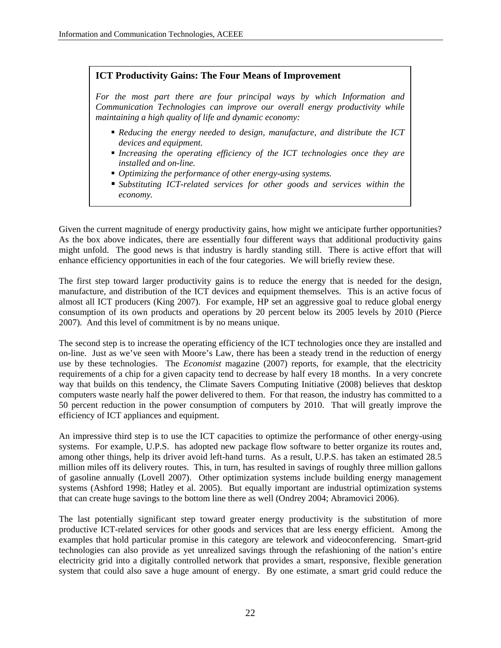#### **ICT Productivity Gains: The Four Means of Improvement**

*For the most part there are four principal ways by which Information and Communication Technologies can improve our overall energy productivity while maintaining a high quality of life and dynamic economy:* 

- *Reducing the energy needed to design, manufacture, and distribute the ICT devices and equipment.*
- *Increasing the operating efficiency of the ICT technologies once they are installed and on-line.*
- *Optimizing the performance of other energy-using systems.*
- *Substituting ICT-related services for other goods and services within the economy.*

Given the current magnitude of energy productivity gains, how might we anticipate further opportunities? As the box above indicates, there are essentially four different ways that additional productivity gains might unfold. The good news is that industry is hardly standing still. There is active effort that will enhance efficiency opportunities in each of the four categories. We will briefly review these.

The first step toward larger productivity gains is to reduce the energy that is needed for the design, manufacture, and distribution of the ICT devices and equipment themselves. This is an active focus of almost all ICT producers (King 2007). For example, HP set an aggressive goal to reduce global energy consumption of its own products and operations by 20 percent below its 2005 levels by 2010 (Pierce 2007). And this level of commitment is by no means unique.

The second step is to increase the operating efficiency of the ICT technologies once they are installed and on-line. Just as we've seen with Moore's Law, there has been a steady trend in the reduction of energy use by these technologies. The *Economist* magazine (2007) reports, for example, that the electricity requirements of a chip for a given capacity tend to decrease by half every 18 months. In a very concrete way that builds on this tendency, the Climate Savers Computing Initiative (2008) believes that desktop computers waste nearly half the power delivered to them. For that reason, the industry has committed to a 50 percent reduction in the power consumption of computers by 2010. That will greatly improve the efficiency of ICT appliances and equipment.

An impressive third step is to use the ICT capacities to optimize the performance of other energy-using systems. For example, U.P.S. has adopted new package flow software to better organize its routes and, among other things, help its driver avoid left-hand turns. As a result, U.P.S. has taken an estimated 28.5 million miles off its delivery routes. This, in turn, has resulted in savings of roughly three million gallons of gasoline annually (Lovell 2007). Other optimization systems include building energy management systems (Ashford 1998; Hatley et al. 2005). But equally important are industrial optimization systems that can create huge savings to the bottom line there as well (Ondrey 2004; Abramovici 2006).

The last potentially significant step toward greater energy productivity is the substitution of more productive ICT-related services for other goods and services that are less energy efficient. Among the examples that hold particular promise in this category are telework and videoconferencing. Smart-grid technologies can also provide as yet unrealized savings through the refashioning of the nation's entire electricity grid into a digitally controlled network that provides a smart, responsive, flexible generation system that could also save a huge amount of energy. By one estimate, a smart grid could reduce the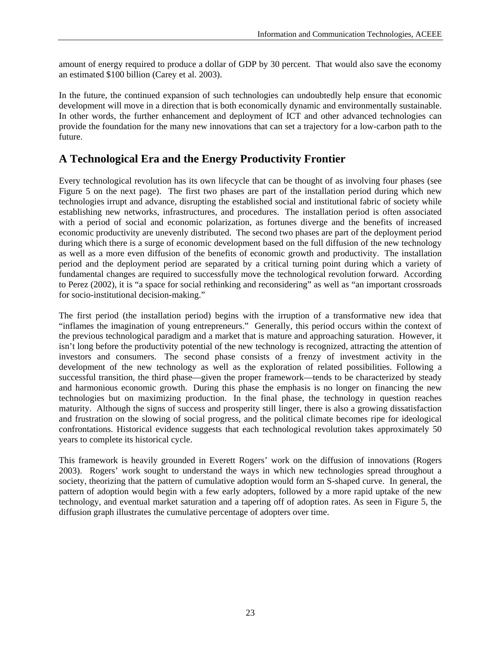<span id="page-30-0"></span>amount of energy required to produce a dollar of GDP by 30 percent. That would also save the economy an estimated \$100 billion (Carey et al. 2003).

In the future, the continued expansion of such technologies can undoubtedly help ensure that economic development will move in a direction that is both economically dynamic and environmentally sustainable. In other words, the further enhancement and deployment of ICT and other advanced technologies can provide the foundation for the many new innovations that can set a trajectory for a low-carbon path to the future.

# **A Technological Era and the Energy Productivity Frontier**

Every technological revolution has its own lifecycle that can be thought of as involving four phases (see Figure 5 on the next page). The first two phases are part of the installation period during which new technologies irrupt and advance, disrupting the established social and institutional fabric of society while establishing new networks, infrastructures, and procedures. The installation period is often associated with a period of social and economic polarization, as fortunes diverge and the benefits of increased economic productivity are unevenly distributed. The second two phases are part of the deployment period during which there is a surge of economic development based on the full diffusion of the new technology as well as a more even diffusion of the benefits of economic growth and productivity. The installation period and the deployment period are separated by a critical turning point during which a variety of fundamental changes are required to successfully move the technological revolution forward. According to Perez (2002), it is "a space for social rethinking and reconsidering" as well as "an important crossroads for socio-institutional decision-making."

The first period (the installation period) begins with the irruption of a transformative new idea that "inflames the imagination of young entrepreneurs." Generally, this period occurs within the context of the previous technological paradigm and a market that is mature and approaching saturation. However, it isn't long before the productivity potential of the new technology is recognized, attracting the attention of investors and consumers. The second phase consists of a frenzy of investment activity in the development of the new technology as well as the exploration of related possibilities. Following a successful transition, the third phase—given the proper framework—tends to be characterized by steady and harmonious economic growth. During this phase the emphasis is no longer on financing the new technologies but on maximizing production. In the final phase, the technology in question reaches maturity. Although the signs of success and prosperity still linger, there is also a growing dissatisfaction and frustration on the slowing of social progress, and the political climate becomes ripe for ideological confrontations. Historical evidence suggests that each technological revolution takes approximately 50 years to complete its historical cycle.

This framework is heavily grounded in Everett Rogers' work on the diffusion of innovations (Rogers 2003). Rogers' work sought to understand the ways in which new technologies spread throughout a society, theorizing that the pattern of cumulative adoption would form an S-shaped curve. In general, the pattern of adoption would begin with a few early adopters, followed by a more rapid uptake of the new technology, and eventual market saturation and a tapering off of adoption rates. As seen in Figure 5, the diffusion graph illustrates the cumulative percentage of adopters over time.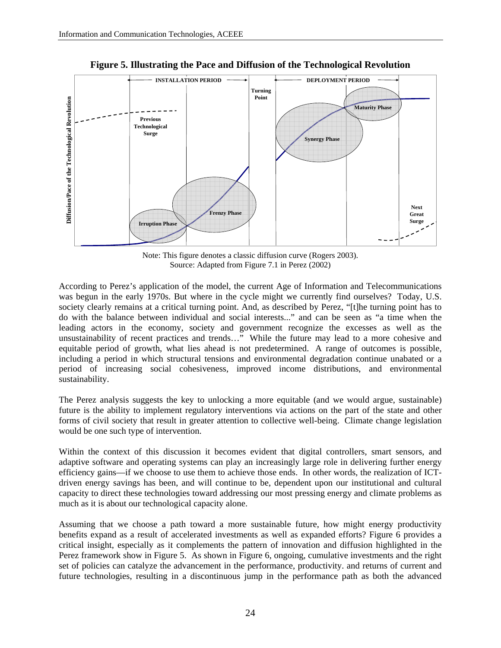

**Figure 5. Illustrating the Pace and Diffusion of the Technological Revolution** 

Note: This figure denotes a classic diffusion curve (Rogers 2003). Source: Adapted from Figure 7.1 in Perez (2002)

According to Perez's application of the model, the current Age of Information and Telecommunications was begun in the early 1970s. But where in the cycle might we currently find ourselves? Today, U.S. society clearly remains at a critical turning point. And, as described by Perez, "[t]he turning point has to do with the balance between individual and social interests..." and can be seen as "a time when the leading actors in the economy, society and government recognize the excesses as well as the unsustainability of recent practices and trends…" While the future may lead to a more cohesive and equitable period of growth, what lies ahead is not predetermined. A range of outcomes is possible, including a period in which structural tensions and environmental degradation continue unabated or a period of increasing social cohesiveness, improved income distributions, and environmental sustainability.

The Perez analysis suggests the key to unlocking a more equitable (and we would argue, sustainable) future is the ability to implement regulatory interventions via actions on the part of the state and other forms of civil society that result in greater attention to collective well-being. Climate change legislation would be one such type of intervention.

Within the context of this discussion it becomes evident that digital controllers, smart sensors, and adaptive software and operating systems can play an increasingly large role in delivering further energy efficiency gains—if we choose to use them to achieve those ends. In other words, the realization of ICTdriven energy savings has been, and will continue to be, dependent upon our institutional and cultural capacity to direct these technologies toward addressing our most pressing energy and climate problems as much as it is about our technological capacity alone.

Assuming that we choose a path toward a more sustainable future, how might energy productivity benefits expand as a result of accelerated investments as well as expanded efforts? Figure 6 provides a critical insight, especially as it complements the pattern of innovation and diffusion highlighted in the Perez framework show in Figure 5. As shown in Figure 6, ongoing, cumulative investments and the right set of policies can catalyze the advancement in the performance, productivity. and returns of current and future technologies, resulting in a discontinuous jump in the performance path as both the advanced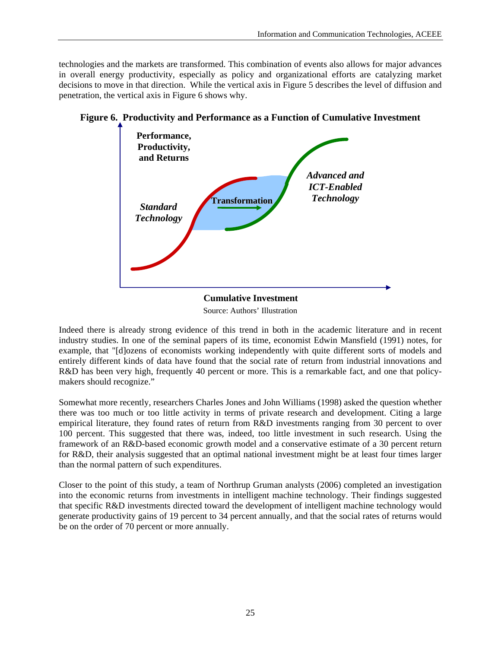technologies and the markets are transformed. This combination of events also allows for major advances in overall energy productivity, especially as policy and organizational efforts are catalyzing market decisions to move in that direction. While the vertical axis in Figure 5 describes the level of diffusion and penetration, the vertical axis in Figure 6 shows why.



**Figure 6. Productivity and Performance as a Function of Cumulative Investment** 

Indeed there is already strong evidence of this trend in both in the academic literature and in recent industry studies. In one of the seminal papers of its time, economist Edwin Mansfield (1991) notes, for example, that "[d]ozens of economists working independently with quite different sorts of models and entirely different kinds of data have found that the social rate of return from industrial innovations and R&D has been very high, frequently 40 percent or more. This is a remarkable fact, and one that policymakers should recognize."

Somewhat more recently, researchers Charles Jones and John Williams (1998) asked the question whether there was too much or too little activity in terms of private research and development. Citing a large empirical literature, they found rates of return from R&D investments ranging from 30 percent to over 100 percent. This suggested that there was, indeed, too little investment in such research. Using the framework of an R&D-based economic growth model and a conservative estimate of a 30 percent return for R&D, their analysis suggested that an optimal national investment might be at least four times larger than the normal pattern of such expenditures.

Closer to the point of this study, a team of Northrup Gruman analysts (2006) completed an investigation into the economic returns from investments in intelligent machine technology. Their findings suggested that specific R&D investments directed toward the development of intelligent machine technology would generate productivity gains of 19 percent to 34 percent annually, and that the social rates of returns would be on the order of 70 percent or more annually.

Source: Authors' Illustration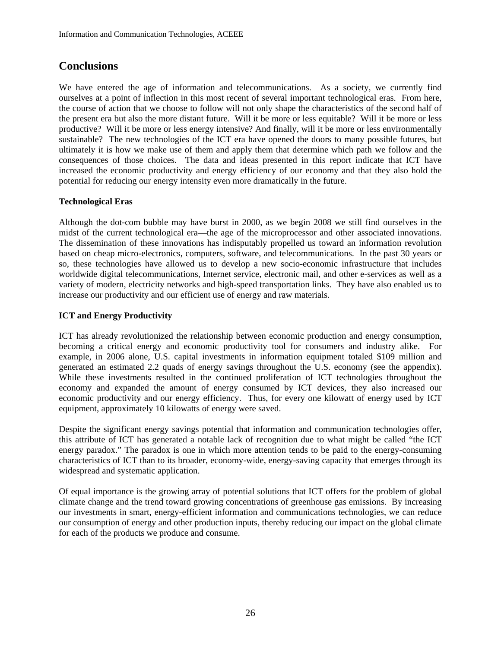# <span id="page-33-0"></span>**Conclusions**

We have entered the age of information and telecommunications. As a society, we currently find ourselves at a point of inflection in this most recent of several important technological eras. From here, the course of action that we choose to follow will not only shape the characteristics of the second half of the present era but also the more distant future. Will it be more or less equitable? Will it be more or less productive? Will it be more or less energy intensive? And finally, will it be more or less environmentally sustainable? The new technologies of the ICT era have opened the doors to many possible futures, but ultimately it is how we make use of them and apply them that determine which path we follow and the consequences of those choices. The data and ideas presented in this report indicate that ICT have increased the economic productivity and energy efficiency of our economy and that they also hold the potential for reducing our energy intensity even more dramatically in the future.

#### **Technological Eras**

Although the dot-com bubble may have burst in 2000, as we begin 2008 we still find ourselves in the midst of the current technological era—the age of the microprocessor and other associated innovations. The dissemination of these innovations has indisputably propelled us toward an information revolution based on cheap micro-electronics, computers, software, and telecommunications. In the past 30 years or so, these technologies have allowed us to develop a new socio-economic infrastructure that includes worldwide digital telecommunications, Internet service, electronic mail, and other e-services as well as a variety of modern, electricity networks and high-speed transportation links. They have also enabled us to increase our productivity and our efficient use of energy and raw materials.

#### **ICT and Energy Productivity**

ICT has already revolutionized the relationship between economic production and energy consumption, becoming a critical energy and economic productivity tool for consumers and industry alike. For example, in 2006 alone, U.S. capital investments in information equipment totaled \$109 million and generated an estimated 2.2 quads of energy savings throughout the U.S. economy (see the appendix). While these investments resulted in the continued proliferation of ICT technologies throughout the economy and expanded the amount of energy consumed by ICT devices, they also increased our economic productivity and our energy efficiency. Thus, for every one kilowatt of energy used by ICT equipment, approximately 10 kilowatts of energy were saved.

Despite the significant energy savings potential that information and communication technologies offer, this attribute of ICT has generated a notable lack of recognition due to what might be called "the ICT energy paradox." The paradox is one in which more attention tends to be paid to the energy-consuming characteristics of ICT than to its broader, economy-wide, energy-saving capacity that emerges through its widespread and systematic application.

Of equal importance is the growing array of potential solutions that ICT offers for the problem of global climate change and the trend toward growing concentrations of greenhouse gas emissions. By increasing our investments in smart, energy-efficient information and communications technologies, we can reduce our consumption of energy and other production inputs, thereby reducing our impact on the global climate for each of the products we produce and consume.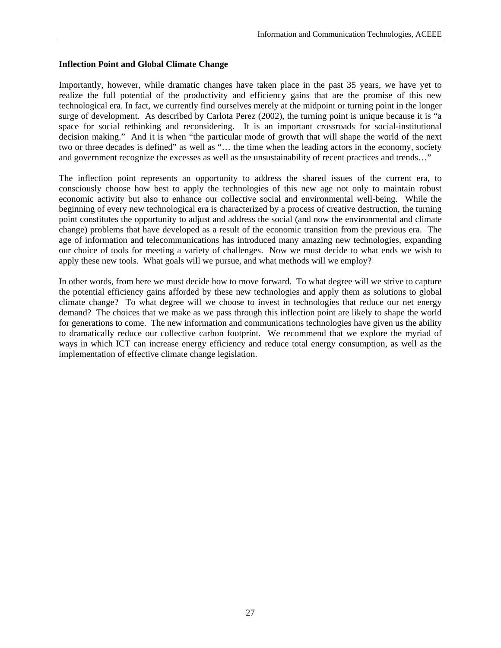#### <span id="page-34-0"></span>**Inflection Point and Global Climate Change**

Importantly, however, while dramatic changes have taken place in the past 35 years, we have yet to realize the full potential of the productivity and efficiency gains that are the promise of this new technological era. In fact, we currently find ourselves merely at the midpoint or turning point in the longer surge of development. As described by Carlota Perez (2002), the turning point is unique because it is "a space for social rethinking and reconsidering. It is an important crossroads for social-institutional decision making." And it is when "the particular mode of growth that will shape the world of the next two or three decades is defined" as well as "… the time when the leading actors in the economy, society and government recognize the excesses as well as the unsustainability of recent practices and trends…"

The inflection point represents an opportunity to address the shared issues of the current era, to consciously choose how best to apply the technologies of this new age not only to maintain robust economic activity but also to enhance our collective social and environmental well-being. While the beginning of every new technological era is characterized by a process of creative destruction, the turning point constitutes the opportunity to adjust and address the social (and now the environmental and climate change) problems that have developed as a result of the economic transition from the previous era. The age of information and telecommunications has introduced many amazing new technologies, expanding our choice of tools for meeting a variety of challenges. Now we must decide to what ends we wish to apply these new tools. What goals will we pursue, and what methods will we employ?

In other words, from here we must decide how to move forward. To what degree will we strive to capture the potential efficiency gains afforded by these new technologies and apply them as solutions to global climate change? To what degree will we choose to invest in technologies that reduce our net energy demand? The choices that we make as we pass through this inflection point are likely to shape the world for generations to come. The new information and communications technologies have given us the ability to dramatically reduce our collective carbon footprint. We recommend that we explore the myriad of ways in which ICT can increase energy efficiency and reduce total energy consumption, as well as the implementation of effective climate change legislation.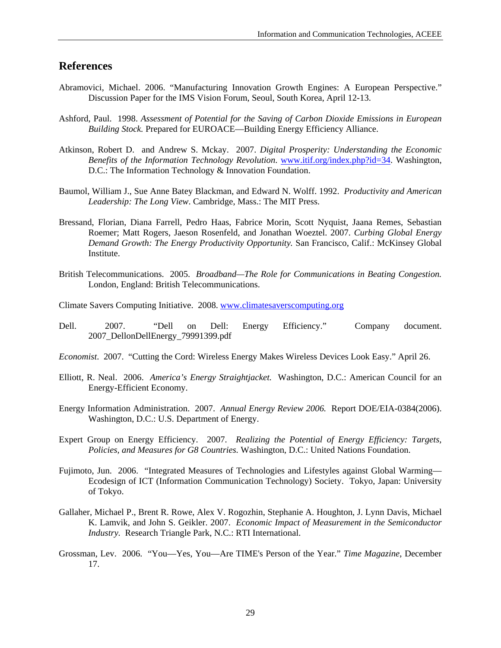# <span id="page-36-0"></span>**References**

- Abramovici, Michael. 2006. "Manufacturing Innovation Growth Engines: A European Perspective." Discussion Paper for the IMS Vision Forum, Seoul, South Korea, April 12-13.
- Ashford, Paul. 1998. *Assessment of Potential for the Saving of Carbon Dioxide Emissions in European Building Stock.* Prepared for EUROACE—Building Energy Efficiency Alliance.
- Atkinson, Robert D. and Andrew S. Mckay. 2007. *Digital Prosperity: Understanding the Economic Benefits of the Information Technology Revolution*. [www.itif.org/index.php?id=34](http://www.itif.org/index.php?id=34). Washington, D.C.: The Information Technology & Innovation Foundation.
- Baumol, William J., Sue Anne Batey Blackman, and Edward N. Wolff. 1992. *Productivity and American Leadership: The Long View*. Cambridge, Mass.: The MIT Press.
- Bressand, Florian, Diana Farrell, Pedro Haas, Fabrice Morin, Scott Nyquist, Jaana Remes, Sebastian Roemer; Matt Rogers, Jaeson Rosenfeld, and Jonathan Woeztel. 2007. *Curbing Global Energy Demand Growth: The Energy Productivity Opportunity.* San Francisco, Calif.: McKinsey Global Institute.
- British Telecommunications. 2005. *Broadband—The Role for Communications in Beating Congestion.*  London, England: British Telecommunications.
- Climate Savers Computing Initiative. 2008. [www.climatesaverscomputing.org](http://www.climatesaverscomputing.org/)
- Dell. 2007. "Dell on Dell: Energy Efficiency." Company document. 2007\_DellonDellEnergy\_79991399.pdf
- *Economist*. 2007. "Cutting the Cord: Wireless Energy Makes Wireless Devices Look Easy." April 26.
- Elliott, R. Neal. 2006. *America's Energy Straightjacket.* Washington, D.C.: American Council for an Energy-Efficient Economy.
- Energy Information Administration. 2007. *Annual Energy Review 2006.* Report DOE/EIA-0384(2006). Washington, D.C.: U.S. Department of Energy.
- Expert Group on Energy Efficiency. 2007. *Realizing the Potential of Energy Efficiency: Targets, Policies, and Measures for G8 Countries.* Washington, D.C.: United Nations Foundation.
- Fujimoto, Jun. 2006. "Integrated Measures of Technologies and Lifestyles against Global Warming— Ecodesign of ICT (Information Communication Technology) Society. Tokyo, Japan: University of Tokyo.
- Gallaher, Michael P., Brent R. Rowe, Alex V. Rogozhin, Stephanie A. Houghton, J. Lynn Davis, Michael K. Lamvik, and John S. Geikler. 2007. *Economic Impact of Measurement in the Semiconductor Industry.* Research Triangle Park, N.C.: RTI International.
- Grossman, Lev. 2006. "You—Yes, You—Are TIME's Person of the Year." *Time Magazine*, December 17.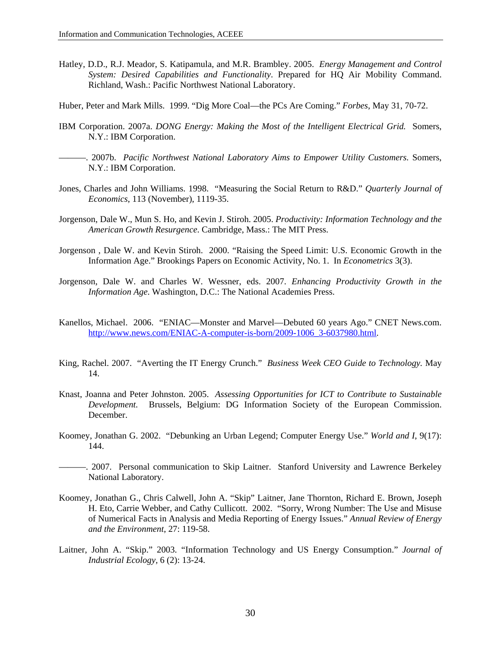Hatley, D.D., R.J. Meador, S. Katipamula, and M.R. Brambley. 2005. *Energy Management and Control System: Desired Capabilities and Functionality*. Prepared for HQ Air Mobility Command. Richland, Wash.: Pacific Northwest National Laboratory.

Huber, Peter and Mark Mills. 1999. "Dig More Coal—the PCs Are Coming." *Forbes*, May 31, 70-72.

- IBM Corporation. 2007a. *DONG Energy: Making the Most of the Intelligent Electrical Grid.* Somers, N.Y.: IBM Corporation.
- ———. 2007b. *Pacific Northwest National Laboratory Aims to Empower Utility Customers.* Somers, N.Y.: IBM Corporation.
- Jones, Charles and John Williams. 1998. "Measuring the Social Return to R&D." *Quarterly Journal of Economics*, 113 (November), 1119-35.
- Jorgenson, Dale W., Mun S. Ho, and Kevin J. Stiroh. 2005. *Productivity: Information Technology and the American Growth Resurgence*. Cambridge, Mass.: The MIT Press.
- Jorgenson , Dale W. and Kevin Stiroh. 2000. "Raising the Speed Limit: U.S. Economic Growth in the Information Age." Brookings Papers on Economic Activity, No. 1. In *Econometrics* 3(3).
- Jorgenson, Dale W. and Charles W. Wessner, eds. 2007. *Enhancing Productivity Growth in the Information Age*. Washington, D.C.: The National Academies Press.
- Kanellos, Michael. 2006. "ENIAC—Monster and Marvel—Debuted 60 years Ago." CNET News.com. [http://www.news.com/ENIAC-A-computer-is-born/2009-1006\\_3-6037980.html](http://www.news.com/ENIAC-A-computer-is-born/2009-1006_3-6037980.html).
- King, Rachel. 2007. "Averting the IT Energy Crunch." *Business Week CEO Guide to Technology.* May 14.
- Knast, Joanna and Peter Johnston. 2005. *Assessing Opportunities for ICT to Contribute to Sustainable Development.* Brussels, Belgium: DG Information Society of the European Commission. December.
- Koomey, Jonathan G. 2002. "Debunking an Urban Legend; Computer Energy Use." *World and I*, 9(17): 144.
- ———. 2007. Personal communication to Skip Laitner. Stanford University and Lawrence Berkeley National Laboratory.
- Koomey, Jonathan G., Chris Calwell, John A. "Skip" Laitner, Jane Thornton, Richard E. Brown, Joseph H. Eto, Carrie Webber, and Cathy Cullicott. 2002. "Sorry, Wrong Number: The Use and Misuse of Numerical Facts in Analysis and Media Reporting of Energy Issues." *Annual Review of Energy and the Environment*, 27: 119-58.
- Laitner, John A. "Skip." 2003. "Information Technology and US Energy Consumption." *Journal of Industrial Ecology,* 6 (2): 13-24.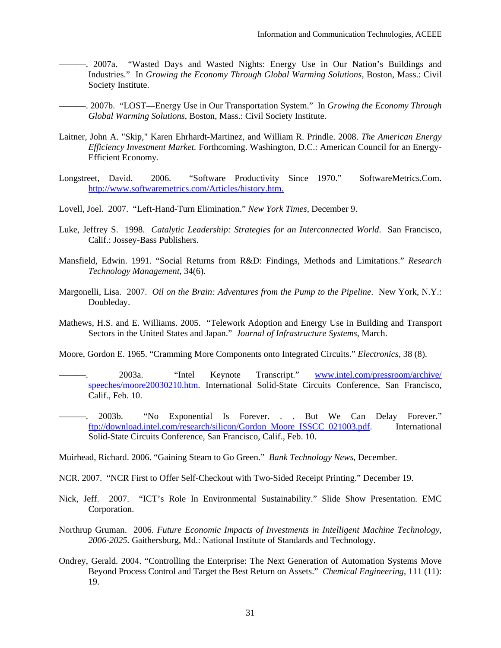- ———. 2007a. "Wasted Days and Wasted Nights: Energy Use in Our Nation's Buildings and Industries." In *Growing the Economy Through Global Warming Solutions*, Boston, Mass.: Civil Society Institute.
- ———. 2007b. "LOST—Energy Use in Our Transportation System." In *Growing the Economy Through Global Warming Solutions*, Boston, Mass.: Civil Society Institute.
- Laitner, John A. "Skip," Karen Ehrhardt-Martinez, and William R. Prindle. 2008. *The American Energy Efficiency Investment Market.* Forthcoming. Washington, D.C.: American Council for an Energy-Efficient Economy.
- Longstreet, David. 2006. "Software Productivity Since 1970." SoftwareMetrics.Com. [http://www.softwaremetrics.com/Articles/history.htm.](http://www.softwaremetrics.com/Articles/history.htm)
- Lovell, Joel. 2007. "Left-Hand-Turn Elimination." *New York Times*, December 9.
- Luke, Jeffrey S. 1998. *Catalytic Leadership: Strategies for an Interconnected World*. San Francisco, Calif.: Jossey-Bass Publishers.
- Mansfield, Edwin. 1991. "Social Returns from R&D: Findings, Methods and Limitations." *Research Technology Management*, 34(6).
- Margonelli, Lisa. 2007. *Oil on the Brain: Adventures from the Pump to the Pipeline*. New York, N.Y.: Doubleday.
- Mathews, H.S. and E. Williams. 2005. "Telework Adoption and Energy Use in Building and Transport Sectors in the United States and Japan." *Journal of Infrastructure Systems*, March.
- Moore, Gordon E. 1965. "Cramming More Components onto Integrated Circuits." *Electronics*, 38 (8).
- ———. 2003a. "Intel Keynote Transcript." [www.intel.com/pressroom/archive/](http://www.intel.com/pressroom/archive/%0Bspeeches/moore20030210.htm) [speeches/moore20030210.htm](http://www.intel.com/pressroom/archive/%0Bspeeches/moore20030210.htm). International Solid-State Circuits Conference, San Francisco, Calif., Feb. 10.
- ———. 2003b. "No Exponential Is Forever. . . But We Can Delay Forever." [ftp://download.intel.com/research/silicon/Gordon\\_Moore\\_ISSCC\\_021003.pdf](ftp://download.intel.com/research/silicon/Gordon_Moore_ISSCC_021003.pdf). International Solid-State Circuits Conference, San Francisco, Calif., Feb. 10.

Muirhead, Richard. 2006. "Gaining Steam to Go Green." *Bank Technology News,* December.

- NCR. 2007. "NCR First to Offer Self-Checkout with Two-Sided Receipt Printing." December 19.
- Nick, Jeff. 2007. "ICT's Role In Environmental Sustainability." Slide Show Presentation. EMC Corporation.
- Northrup Gruman. 2006. *Future Economic Impacts of Investments in Intelligent Machine Technology, 2006-2025.* Gaithersburg, Md.: National Institute of Standards and Technology.
- Ondrey, Gerald. 2004. "Controlling the Enterprise: The Next Generation of Automation Systems Move Beyond Process Control and Target the Best Return on Assets." *Chemical Engineering*, 111 (11): 19.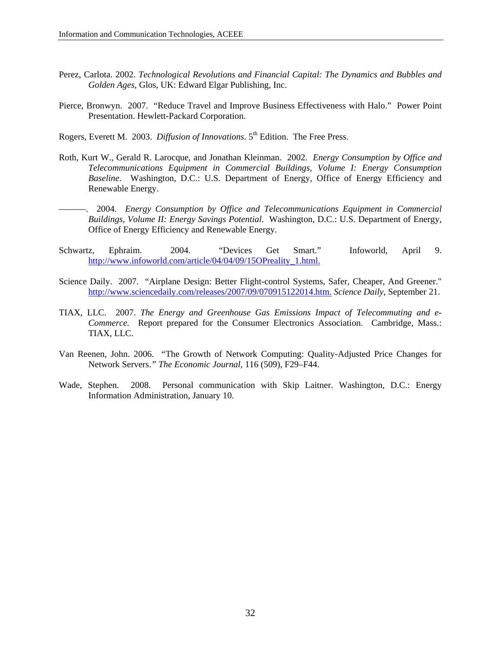- Perez, Carlota. 2002. *Technological Revolutions and Financial Capital: The Dynamics and Bubbles and Golden Ages*, Glos, UK: Edward Elgar Publishing, Inc.
- Pierce, Bronwyn. 2007. "Reduce Travel and Improve Business Effectiveness with Halo." Power Point Presentation. Hewlett-Packard Corporation.

Rogers, Everett M. 2003. *Diffusion of Innovations*. 5<sup>th</sup> Edition. The Free Press.

- Roth, Kurt W., Gerald R. Larocque, and Jonathan Kleinman. 2002. *Energy Consumption by Office and Telecommunications Equipment in Commercial Buildings, Volume I: Energy Consumption Baseline*. Washington, D.C.: U.S. Department of Energy, Office of Energy Efficiency and Renewable Energy.
- ———. 2004. *Energy Consumption by Office and Telecommunications Equipment in Commercial Buildings, Volume II: Energy Savings Potential*. Washington, D.C.: U.S. Department of Energy, Office of Energy Efficiency and Renewable Energy.
- Schwartz, Ephraim. 2004. "Devices Get Smart." Infoworld, April 9. [http://www.infoworld.com/article/04/04/09/15OPreality\\_1.html.](http://www.infoworld.com/article/04/04/09/15OPreality_1.html)
- Science Daily. 2007. "Airplane Design: Better Flight-control Systems, Safer, Cheaper, And Greener." [http://www.sciencedaily.com/releases/2007/09/070915122014.htm.](http://www.sciencedaily.com/releases/2007/09/070915122014.htm) *Science Daily,* September 21.
- TIAX, LLC. 2007. *The Energy and Greenhouse Gas Emissions Impact of Telecommuting and e-Commerce.* Report prepared for the Consumer Electronics Association. Cambridge, Mass.: TIAX, LLC.
- Van Reenen, John. 2006. "The Growth of Network Computing: Quality-Adjusted Price Changes for Network Servers.*" The Economic Journal*, 116 (509), F29–F44.
- Wade, Stephen. 2008. Personal communication with Skip Laitner. Washington, D.C.: Energy Information Administration, January 10.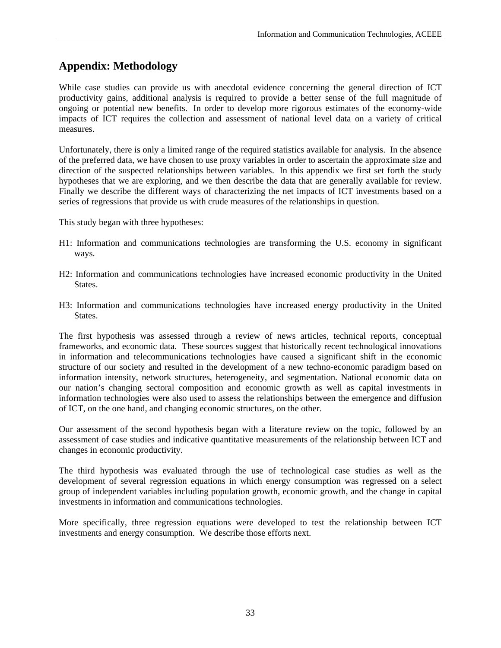# <span id="page-40-0"></span>**Appendix: Methodology**

While case studies can provide us with anecdotal evidence concerning the general direction of ICT productivity gains, additional analysis is required to provide a better sense of the full magnitude of ongoing or potential new benefits. In order to develop more rigorous estimates of the economy-wide impacts of ICT requires the collection and assessment of national level data on a variety of critical measures.

Unfortunately, there is only a limited range of the required statistics available for analysis. In the absence of the preferred data, we have chosen to use proxy variables in order to ascertain the approximate size and direction of the suspected relationships between variables. In this appendix we first set forth the study hypotheses that we are exploring, and we then describe the data that are generally available for review. Finally we describe the different ways of characterizing the net impacts of ICT investments based on a series of regressions that provide us with crude measures of the relationships in question.

This study began with three hypotheses:

- H1: Information and communications technologies are transforming the U.S. economy in significant ways.
- H2: Information and communications technologies have increased economic productivity in the United States.
- H3: Information and communications technologies have increased energy productivity in the United States.

The first hypothesis was assessed through a review of news articles, technical reports, conceptual frameworks, and economic data. These sources suggest that historically recent technological innovations in information and telecommunications technologies have caused a significant shift in the economic structure of our society and resulted in the development of a new techno-economic paradigm based on information intensity, network structures, heterogeneity, and segmentation. National economic data on our nation's changing sectoral composition and economic growth as well as capital investments in information technologies were also used to assess the relationships between the emergence and diffusion of ICT, on the one hand, and changing economic structures, on the other.

Our assessment of the second hypothesis began with a literature review on the topic, followed by an assessment of case studies and indicative quantitative measurements of the relationship between ICT and changes in economic productivity.

The third hypothesis was evaluated through the use of technological case studies as well as the development of several regression equations in which energy consumption was regressed on a select group of independent variables including population growth, economic growth, and the change in capital investments in information and communications technologies.

More specifically, three regression equations were developed to test the relationship between ICT investments and energy consumption. We describe those efforts next.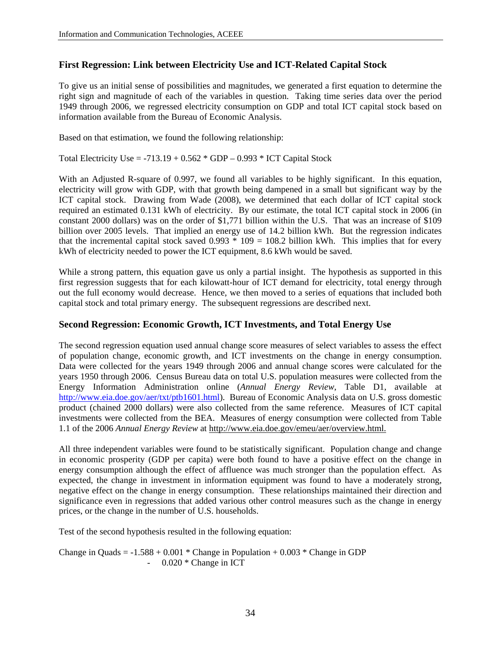### <span id="page-41-0"></span>**First Regression: Link between Electricity Use and ICT-Related Capital Stock**

To give us an initial sense of possibilities and magnitudes, we generated a first equation to determine the right sign and magnitude of each of the variables in question. Taking time series data over the period 1949 through 2006, we regressed electricity consumption on GDP and total ICT capital stock based on information available from the Bureau of Economic Analysis.

Based on that estimation, we found the following relationship:

Total Electricity Use =  $-713.19 + 0.562 * GDP - 0.993 * ICT Capital Stock$ 

With an Adjusted R-square of 0.997, we found all variables to be highly significant. In this equation, electricity will grow with GDP, with that growth being dampened in a small but significant way by the ICT capital stock. Drawing from Wade (2008), we determined that each dollar of ICT capital stock required an estimated 0.131 kWh of electricity. By our estimate, the total ICT capital stock in 2006 (in constant 2000 dollars) was on the order of \$1,771 billion within the U.S. That was an increase of \$109 billion over 2005 levels. That implied an energy use of 14.2 billion kWh. But the regression indicates that the incremental capital stock saved  $0.993 * 109 = 108.2$  billion kWh. This implies that for every kWh of electricity needed to power the ICT equipment, 8.6 kWh would be saved.

While a strong pattern, this equation gave us only a partial insight. The hypothesis as supported in this first regression suggests that for each kilowatt-hour of ICT demand for electricity, total energy through out the full economy would decrease. Hence, we then moved to a series of equations that included both capital stock and total primary energy. The subsequent regressions are described next.

#### **Second Regression: Economic Growth, ICT Investments, and Total Energy Use**

The second regression equation used annual change score measures of select variables to assess the effect of population change, economic growth, and ICT investments on the change in energy consumption. Data were collected for the years 1949 through 2006 and annual change scores were calculated for the years 1950 through 2006. Census Bureau data on total U.S. population measures were collected from the Energy Information Administration online (*Annual Energy Review*, Table D1, available at [http://www.eia.doe.gov/aer/txt/ptb1601.html\)](http://www.eia.doe.gov/aer/txt/ptb1601.html). Bureau of Economic Analysis data on U.S. gross domestic product (chained 2000 dollars) were also collected from the same reference. Measures of ICT capital investments were collected from the BEA. Measures of energy consumption were collected from Table 1.1 of the 2006 *Annual Energy Review* at <http://www.eia.doe.gov/emeu/aer/overview.html>.

All three independent variables were found to be statistically significant. Population change and change in economic prosperity (GDP per capita) were both found to have a positive effect on the change in energy consumption although the effect of affluence was much stronger than the population effect. As expected, the change in investment in information equipment was found to have a moderately strong, negative effect on the change in energy consumption. These relationships maintained their direction and significance even in regressions that added various other control measures such as the change in energy prices, or the change in the number of U.S. households.

Test of the second hypothesis resulted in the following equation:

Change in Quads =  $-1.588 + 0.001$  \* Change in Population  $+ 0.003$  \* Change in GDP - 0.020 \* Change in ICT